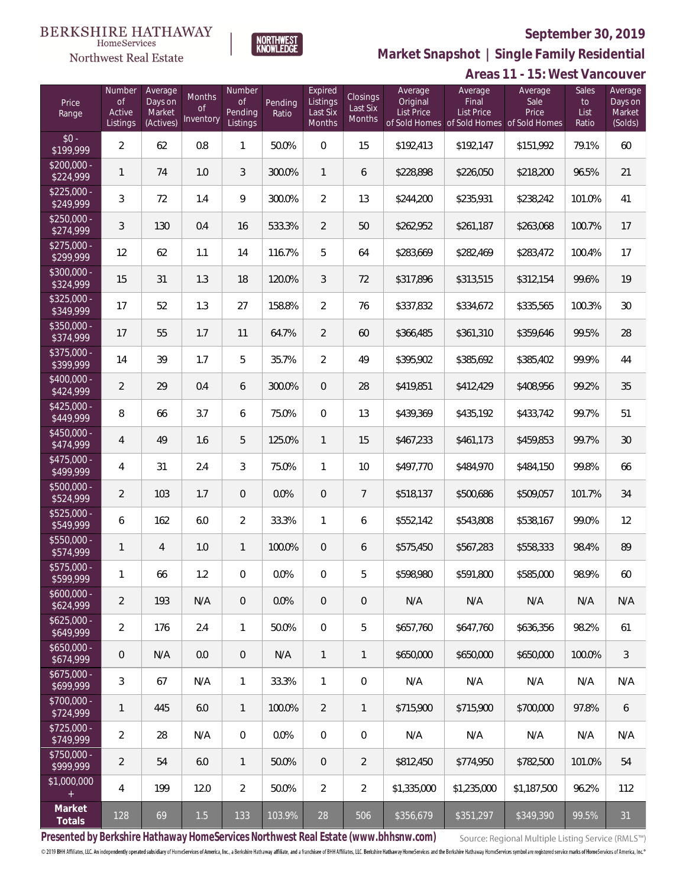**Areas 11 - 15: West Vancouver**



Number

**NORTHWEST**<br>KNOWLEDGE

Expired

Average

Northwest Real Estate

 $$20$ <br> $$22$ 

 $$22$ <br> $$24$ 

 $$25$ <br> $$27$ 

 $$27$ <br> $$29$ 

 $$30$ <br> $$32$ 

 $$32$ <br> $$34$ 

 $$35$ <sub>\$37</sub>

 $$37$ <br> $$39$ 

 $$40$ <br> $$42$ 

 $$42$ <br> $$44$ 

 $$45$ <sub>\$47</sub>

 $$47$ 

 $$50$ <br> $$52$ 

 $$52$ <br> $$54$ 

 $\overline{$55}$ 

 $\overline{$57}$ 

 $$60$ <br> $$62$ 

 $$62$ <br> $$64$ 

 $$65$ <br> $$67$ 

 $$67$ <br> $$69$ 

 $$70$ <br> $$72$ 

 $$72$ <br> $$74$ 

 $$75$ <br>\$99

 $$1,0$ 

**Market Snapshot | Single Family Residential**

Average

| Price<br>Range            | Number<br><b>of</b><br>Active<br>Listings | Average<br>Days on<br>Market<br>(Actives) | Months<br>$\Omega$<br>Inventory | Number<br><b>of</b><br>Pending<br>Listings | Pending<br>Ratio | Expired<br>Listings<br>Last Six<br><b>Months</b> | Closings<br>Last Six<br><b>Months</b> | Average<br>Original<br>List Price | Average<br>Final<br>List Price<br>of Sold Homes of Sold Homes of Sold Homes | Average<br>Sale<br>Price | Sales<br>to<br>List<br>Ratio | Average<br>Days on<br>Market<br>(Solds) |
|---------------------------|-------------------------------------------|-------------------------------------------|---------------------------------|--------------------------------------------|------------------|--------------------------------------------------|---------------------------------------|-----------------------------------|-----------------------------------------------------------------------------|--------------------------|------------------------------|-----------------------------------------|
| $$0 -$<br>\$199,999       | 2                                         | 62                                        | 0.8                             | 1                                          | 50.0%            | $\mathbf{0}$                                     | 15                                    | \$192,413                         | \$192,147                                                                   | \$151,992                | 79.1%                        | 60                                      |
| \$200,000 -<br>\$224,999  | 1                                         | 74                                        | 1.0                             | 3                                          | 300.0%           | $\mathbf{1}$                                     | 6                                     | \$228,898                         | \$226,050                                                                   | \$218,200                | 96.5%                        | 21                                      |
| \$225,000 -<br>\$249,999  | 3                                         | 72                                        | 1.4                             | 9                                          | 300.0%           | 2                                                | 13                                    | \$244,200                         | \$235,931                                                                   | \$238,242                | 101.0%                       | 41                                      |
| \$250,000 -<br>\$274,999  | 3                                         | 130                                       | 0.4                             | 16                                         | 533.3%           | 2                                                | 50                                    | \$262.952                         | \$261,187                                                                   | \$263,068                | 100.7%                       | 17                                      |
| \$275,000 -<br>\$299,999  | 12                                        | 62                                        | 1.1                             | 14                                         | 116.7%           | 5                                                | 64                                    | \$283,669                         | \$282,469                                                                   | \$283,472                | 100.4%                       | 17                                      |
| $$300,000 -$<br>\$324,999 | 15                                        | 31                                        | 1.3                             | 18                                         | 120.0%           | 3                                                | 72                                    | \$317,896                         | \$313,515                                                                   | \$312,154                | 99.6%                        | 19                                      |
| \$325,000 -<br>\$349,999  | 17                                        | 52                                        | 1.3                             | 27                                         | 158.8%           | $\overline{2}$                                   | 76                                    | \$337,832                         | \$334,672                                                                   | \$335,565                | 100.3%                       | 30                                      |
| \$350,000 -<br>\$374,999  | 17                                        | 55                                        | 1.7                             | 11                                         | 64.7%            | $\overline{2}$                                   | 60                                    | \$366.485                         | \$361,310                                                                   | \$359,646                | 99.5%                        | 28                                      |
| \$375,000 -<br>\$399,999  | 14                                        | 39                                        | 1.7                             | 5                                          | 35.7%            | $\overline{2}$                                   | 49                                    | \$395,902                         | \$385,692                                                                   | \$385,402                | 99.9%                        | 44                                      |
| \$400,000 -<br>\$424,999  | 2                                         | 29                                        | 0.4                             | 6                                          | 300.0%           | 0                                                | 28                                    | \$419,851                         | \$412,429                                                                   | \$408,956                | 99.2%                        | 35                                      |
| \$425,000 -<br>\$449,999  | 8                                         | 66                                        | 3.7                             | 6                                          | 75.0%            | $\mathbf 0$                                      | 13                                    | \$439,369                         | \$435,192                                                                   | \$433,742                | 99.7%                        | 51                                      |
| \$450,000 -<br>\$474,999  | 4                                         | 49                                        | 1.6                             | 5                                          | 125.0%           | $\mathbf{1}$                                     | 15                                    | \$467,233                         | \$461,173                                                                   | \$459,853                | 99.7%                        | 30                                      |
| \$475,000 -<br>\$499,999  | 4                                         | 31                                        | 2.4                             | 3                                          | 75.0%            | 1                                                | 10                                    | \$497,770                         | \$484,970                                                                   | \$484,150                | 99.8%                        | 66                                      |
| 500,000 -<br>\$524,999    | 2                                         | 103                                       | 1.7                             | 0                                          | 0.0%             | $\sqrt{a}$                                       | 7                                     | \$518,137                         | \$500,686                                                                   | \$509,057                | 101.7%                       | 34                                      |
| 5525,000 -<br>\$549,999   | 6                                         | 162                                       | 6.0                             | 2                                          | 33.3%            | 1                                                | 6                                     | \$552,142                         | \$543,808                                                                   | \$538,167                | 99.0%                        | 12                                      |
| 550,000 -<br>\$574,999    | 1                                         | $\overline{4}$                            | 1.0                             | 1                                          | 100.0%           | $\theta$                                         | 6                                     | \$575,450                         | \$567,283                                                                   | \$558,333                | 98.4%                        | 89                                      |
| 5575,000 -<br>\$599,999   | 1                                         | 66                                        | 1.2                             | 0                                          | 0.0%             | $\mathbf{0}$                                     | 5                                     | \$598.980                         | \$591,800                                                                   | \$585,000                | 98.9%                        | 60                                      |
| $600,000 -$<br>\$624,999  | $\overline{2}$                            | 193                                       | N/A                             | 0                                          | 0.0%             | $\overline{0}$                                   | $\overline{0}$                        | N/A                               | N/A                                                                         | N/A                      | N/A                          | N/A                                     |
| $625,000 -$<br>\$649,999  | $\overline{2}$                            | 176                                       | 2.4                             | 1                                          | 50.0%            | $\overline{0}$                                   | 5                                     | \$657,760                         | \$647,760                                                                   | \$636,356                | 98.2%                        | 61                                      |
| $650,000 -$<br>\$674,999  | $\mathbf 0$                               | N/A                                       | 0.0                             | 0                                          | N/A              | 1                                                | 1                                     | \$650,000                         | \$650,000                                                                   | \$650,000                | 100.0%                       | 3                                       |
| 675,000 -<br>\$699,999    | 3                                         | 67                                        | N/A                             | 1                                          | 33.3%            | 1                                                | $\mathbf 0$                           | N/A                               | N/A                                                                         | N/A                      | N/A                          | N/A                                     |
| \$700,000 -<br>\$724,999  | $\mathbf{1}$                              | 445                                       | 6.0                             | 1                                          | 100.0%           | 2                                                | 1                                     | \$715,900                         | \$715,900                                                                   | \$700,000                | 97.8%                        | 6                                       |
| \$725,000 -<br>\$749,999  | $\overline{2}$                            | 28                                        | N/A                             | 0                                          | 0.0%             | 0                                                | 0                                     | N/A                               | N/A                                                                         | N/A                      | N/A                          | N/A                                     |
| \$750,000 -<br>\$999,999  | 2                                         | 54                                        | 6.0                             | 1                                          | 50.0%            | 0                                                | $\overline{2}$                        | \$812,450                         | \$774,950                                                                   | \$782,500                | 101.0%                       | 54                                      |
| 1,000,000<br>$\pm$        | 4                                         | 199                                       | 12.0                            | 2                                          | 50.0%            | 2                                                | $\overline{2}$                        | \$1,335,000                       | \$1,235,000                                                                 | \$1,187,500              | 96.2%                        | 112                                     |
| Market<br>Totals          | 128                                       | 69                                        | 1.5                             | 133                                        | 103.9%           | 28                                               | 506                                   | \$356,679                         | \$351,297                                                                   | \$349,390                | 99.5%                        | 31                                      |

**Presented by Berkshire Hathaway HomeServices Northwest Real Estate (www.bhhsnw.com)**

Source: Regional Multiple Listing Service (RMLS™)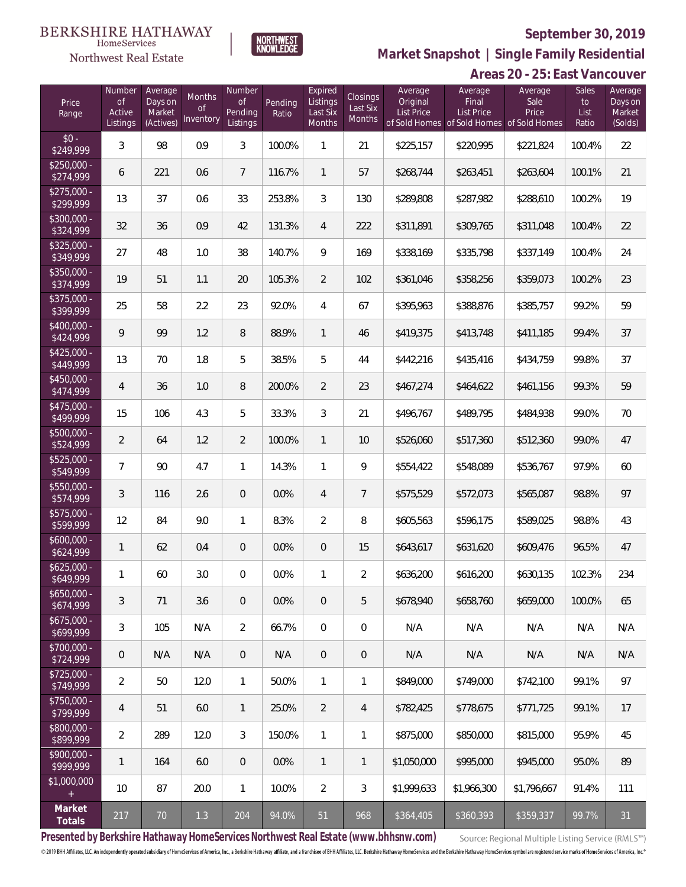

NORTHWEST<br>KNOWLEDGE

Northwest Real Estate

**Market Snapshot | Single Family Residential**

## **Areas 20 - 25: East Vancouver**

| Price<br>Range            | Number<br><b>of</b><br>Active<br>Listings | Average<br>Days on<br>Market<br>(Actives) | Months<br>Οf<br>Inventory | Number<br><b>of</b><br>Pending<br>Listings | Pending<br>Ratio | Expired<br>Listings<br>Last Six<br>Months | <b>Closings</b><br>Last Six<br>Months | Average<br>Original<br>List Price | Average<br>Final<br><b>List Price</b><br>of Sold Homes of Sold Homes | Average<br>Sale<br>Price<br>of Sold Homes | Sales<br>to<br>List<br>Ratio | Average<br>Days on<br>Market<br>(Solds) |
|---------------------------|-------------------------------------------|-------------------------------------------|---------------------------|--------------------------------------------|------------------|-------------------------------------------|---------------------------------------|-----------------------------------|----------------------------------------------------------------------|-------------------------------------------|------------------------------|-----------------------------------------|
| $$0 -$<br>\$249,999       | 3                                         | 98                                        | 0.9                       | 3                                          | 100.0%           | 1                                         | 21                                    | \$225,157                         | \$220,995                                                            | \$221,824                                 | 100.4%                       | 22                                      |
| $$250,000 -$<br>\$274,999 | 6                                         | 221                                       | 0.6                       | $\overline{7}$                             | 116.7%           | $\mathbf{1}$                              | 57                                    | \$268,744                         | \$263,451                                                            | \$263,604                                 | 100.1%                       | 21                                      |
| $$275,000 -$<br>\$299,999 | 13                                        | 37                                        | 0.6                       | 33                                         | 253.8%           | 3                                         | 130                                   | \$289,808                         | \$287,982                                                            | \$288,610                                 | 100.2%                       | 19                                      |
| \$300,000 -<br>\$324,999  | 32                                        | 36                                        | 0.9                       | 42                                         | 131.3%           | $\overline{4}$                            | 222                                   | \$311,891                         | \$309,765                                                            | \$311,048                                 | 100.4%                       | 22                                      |
| $$325,000 -$<br>\$349,999 | 27                                        | 48                                        | 1.0                       | 38                                         | 140.7%           | 9                                         | 169                                   | \$338,169                         | \$335,798                                                            | \$337,149                                 | 100.4%                       | 24                                      |
| $$350,000 -$<br>\$374,999 | 19                                        | 51                                        | 1.1                       | 20                                         | 105.3%           | $\overline{2}$                            | 102                                   | \$361,046                         | \$358,256                                                            | \$359,073                                 | 100.2%                       | 23                                      |
| $$375,000 -$<br>\$399,999 | 25                                        | 58                                        | 2.2                       | 23                                         | 92.0%            | 4                                         | 67                                    | \$395,963                         | \$388,876                                                            | \$385,757                                 | 99.2%                        | 59                                      |
| $$400,000 -$<br>\$424,999 | 9                                         | 99                                        | 1.2                       | $\, 8$                                     | 88.9%            | $\mathbf{1}$                              | 46                                    | \$419,375                         | \$413,748                                                            | \$411,185                                 | 99.4%                        | 37                                      |
| $$425,000 -$<br>\$449,999 | 13                                        | 70                                        | 1.8                       | 5                                          | 38.5%            | 5                                         | 44                                    | \$442,216                         | \$435,416                                                            | \$434,759                                 | 99.8%                        | 37                                      |
| $$450,000 -$<br>\$474,999 | $\overline{4}$                            | 36                                        | 1.0                       | $\, 8$                                     | 200.0%           | $\overline{2}$                            | 23                                    | \$467,274                         | \$464,622                                                            | \$461,156                                 | 99.3%                        | 59                                      |
| $$475,000 -$<br>\$499,999 | 15                                        | 106                                       | 4.3                       | 5                                          | 33.3%            | 3                                         | 21                                    | \$496,767                         | \$489,795                                                            | \$484,938                                 | 99.0%                        | 70                                      |
| \$500,000 -<br>\$524,999  | $\overline{2}$                            | 64                                        | 1.2                       | $\overline{2}$                             | 100.0%           | $\mathbf{1}$                              | 10                                    | \$526,060                         | \$517,360                                                            | \$512,360                                 | 99.0%                        | 47                                      |
| $$525,000 -$<br>\$549,999 | $\overline{7}$                            | 90                                        | 4.7                       | $\mathbf{1}$                               | 14.3%            | $\mathbf{1}$                              | 9                                     | \$554,422                         | \$548,089                                                            | \$536,767                                 | 97.9%                        | 60                                      |
| \$550,000 -<br>\$574,999  | 3                                         | 116                                       | 2.6                       | $\overline{0}$                             | 0.0%             | $\overline{4}$                            | $\overline{7}$                        | \$575,529                         | \$572,073                                                            | \$565,087                                 | 98.8%                        | 97                                      |
| $$575,000 -$<br>\$599,999 | 12                                        | 84                                        | 9.0                       | $\mathbf{1}$                               | 8.3%             | $\overline{2}$                            | 8                                     | \$605,563                         | \$596,175                                                            | \$589,025                                 | 98.8%                        | 43                                      |
| $$600,000 -$<br>\$624,999 | 1                                         | 62                                        | 0.4                       | $\overline{0}$                             | 0.0%             | $\overline{0}$                            | 15                                    | \$643,617                         | \$631,620                                                            | \$609,476                                 | 96.5%                        | 47                                      |
| $$625,000 -$<br>\$649,999 | 1                                         | 60                                        | 3.0                       | $\overline{0}$                             | 0.0%             | 1                                         | $\overline{2}$                        | \$636,200                         | \$616,200                                                            | \$630,135                                 | 102.3%                       | 234                                     |
| $$650,000 -$<br>\$674,999 | 3                                         | 71                                        | 3.6                       | $\overline{0}$                             | 0.0%             | $\mathbf 0$                               | 5                                     | \$678,940                         | \$658,760                                                            | \$659,000                                 | 100.0%                       | 65                                      |
| $$675,000 -$<br>\$699,999 | 3                                         | 105                                       | N/A                       | $\overline{2}$                             | 66.7%            | $\mathbf{0}$                              | $\mathbf 0$                           | N/A                               | N/A                                                                  | N/A                                       | N/A                          | N/A                                     |
| $$700,000 -$<br>\$724,999 | $\mathbf 0$                               | N/A                                       | N/A                       | $\overline{0}$                             | N/A              | $\overline{0}$                            | $\sqrt{2}$                            | N/A                               | N/A                                                                  | N/A                                       | N/A                          | N/A                                     |
| $$725,000 -$<br>\$749,999 | $\overline{2}$                            | 50                                        | 12.0                      | $\mathbf{1}$                               | 50.0%            | $\mathbf{1}$                              | 1                                     | \$849,000                         | \$749,000                                                            | \$742,100                                 | 99.1%                        | 97                                      |
| $$750,000 -$<br>\$799,999 | $\overline{4}$                            | 51                                        | 6.0                       | $\overline{1}$                             | 25.0%            | $\overline{2}$                            | 4                                     | \$782,425                         | \$778.675                                                            | \$771,725                                 | 99.1%                        | 17                                      |
| $$800,000 -$<br>\$899,999 | $\overline{2}$                            | 289                                       | 12.0                      | 3                                          | 150.0%           | $\mathbf{1}$                              | 1                                     | \$875,000                         | \$850,000                                                            | \$815,000                                 | 95.9%                        | 45                                      |
| $$900,000 -$<br>\$999,999 | $\mathbf{1}$                              | 164                                       | 6.0                       | $\overline{0}$                             | 0.0%             | $\mathbf{1}$                              | $\mathbf{1}$                          | \$1,050,000                       | \$995,000                                                            | \$945,000                                 | 95.0%                        | 89                                      |
| \$1,000,000<br>$+$        | 10                                        | 87                                        | 20.0                      | $\mathbf{1}$                               | 10.0%            | $\overline{2}$                            | $\mathfrak{Z}$                        | \$1,999,633                       | \$1,966,300                                                          | \$1,796,667                               | 91.4%                        | 111                                     |
| Market<br>Totals          | 217                                       | $70$                                      | 1.3                       | 204                                        | 94.0%            | 51                                        | 968                                   | \$364,405                         | \$360,393                                                            | \$359,337                                 | 99.7%                        | 31                                      |

**Presented by Berkshire Hathaway HomeServices Northwest Real Estate (www.bhhsnw.com)**

Source: Regional Multiple Listing Service (RMLS™)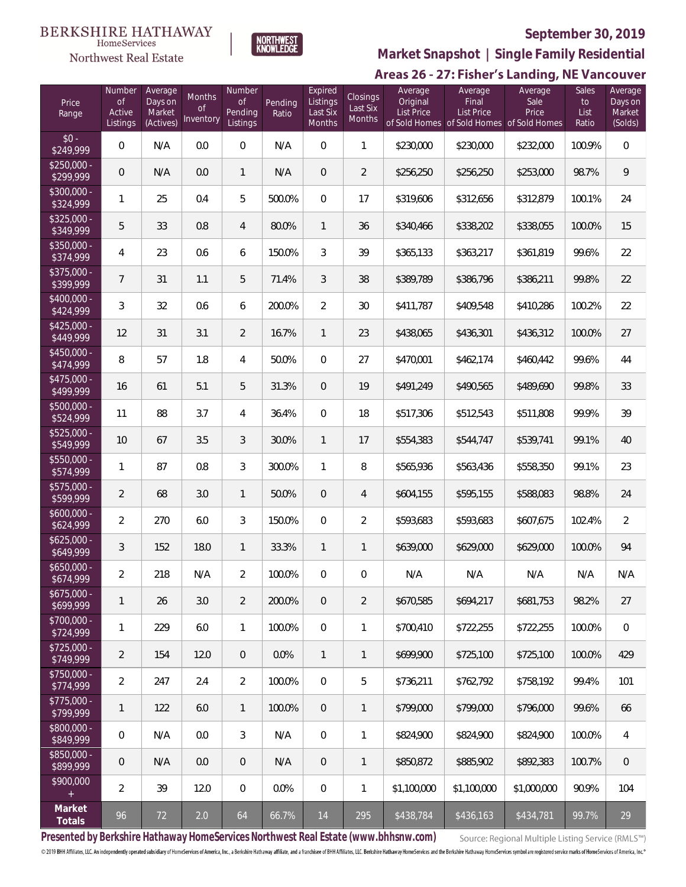#### **BERKSHIRE HATHAWAY** HomeServices





## **September 30, 2019**

**Market Snapshot | Single Family Residential**

## Areas 26 - 27: Fisher's Landing, NE Vancouver

| Price<br>Range            | Number<br><b>of</b><br>Active<br>Listings | Average<br>Days on<br>Market<br>(Actives) | Months<br>0f<br>Inventory | Number<br><b>of</b><br>Pending<br>Listings | Pending<br>Ratio | Expired<br>Listings<br>Last Six<br>Months | <b>Closings</b><br>Last Six<br><b>Months</b> | Average<br>Original<br><b>List Price</b> | Average<br>Final<br><b>List Price</b><br>of Sold Homes of Sold Homes of Sold Homes | Average<br>Sale<br>Price | Sales<br>to<br>List<br>Ratio | Average<br>Days on<br>Market<br>(Solds) |
|---------------------------|-------------------------------------------|-------------------------------------------|---------------------------|--------------------------------------------|------------------|-------------------------------------------|----------------------------------------------|------------------------------------------|------------------------------------------------------------------------------------|--------------------------|------------------------------|-----------------------------------------|
| $$0 -$<br>\$249,999       | $\mathbf 0$                               | N/A                                       | 0.0                       | $\boldsymbol{0}$                           | N/A              | 0                                         | 1                                            | \$230,000                                | \$230,000                                                                          | \$232,000                | 100.9%                       | $\,0\,$                                 |
| $$250,000 -$<br>\$299,999 | 0                                         | N/A                                       | 0.0                       | 1                                          | N/A              | 0                                         | $\overline{2}$                               | \$256,250                                | \$256,250                                                                          | \$253,000                | 98.7%                        | $\overline{9}$                          |
| \$300,000 -<br>\$324,999  | $\mathbf{1}$                              | 25                                        | 0.4                       | 5                                          | 500.0%           | 0                                         | 17                                           | \$319,606                                | \$312,656                                                                          | \$312,879                | 100.1%                       | 24                                      |
| $$325,000 -$<br>\$349,999 | 5                                         | 33                                        | 0.8                       | $\overline{4}$                             | 80.0%            | $\mathbf{1}$                              | 36                                           | \$340,466                                | \$338,202                                                                          | \$338,055                | 100.0%                       | 15                                      |
| $$350,000 -$<br>\$374,999 | 4                                         | 23                                        | 0.6                       | 6                                          | 150.0%           | 3                                         | 39                                           | \$365,133                                | \$363,217                                                                          | \$361,819                | 99.6%                        | 22                                      |
| $$375,000 -$<br>\$399,999 | 7                                         | 31                                        | 1.1                       | 5                                          | 71.4%            | 3                                         | 38                                           | \$389,789                                | \$386,796                                                                          | \$386,211                | 99.8%                        | 22                                      |
| $$400,000 -$<br>\$424,999 | 3                                         | 32                                        | 0.6                       | 6                                          | 200.0%           | $\overline{2}$                            | 30                                           | \$411,787                                | \$409,548                                                                          | \$410,286                | 100.2%                       | 22                                      |
| $$425,000 -$<br>\$449,999 | 12                                        | 31                                        | 3.1                       | $\overline{2}$                             | 16.7%            | $\mathbf{1}$                              | 23                                           | \$438,065                                | \$436,301                                                                          | \$436,312                | 100.0%                       | 27                                      |
| $$450,000 -$<br>\$474,999 | 8                                         | 57                                        | 1.8                       | $\overline{4}$                             | 50.0%            | 0                                         | 27                                           | \$470,001                                | \$462,174                                                                          | \$460,442                | 99.6%                        | 44                                      |
| $$475,000 -$<br>\$499,999 | 16                                        | 61                                        | 5.1                       | 5                                          | 31.3%            | 0                                         | 19                                           | \$491,249                                | \$490,565                                                                          | \$489,690                | 99.8%                        | 33                                      |
| \$500,000 -<br>\$524,999  | 11                                        | 88                                        | 3.7                       | 4                                          | 36.4%            | 0                                         | 18                                           | \$517,306                                | \$512,543                                                                          | \$511,808                | 99.9%                        | 39                                      |
| $$525,000 -$<br>\$549,999 | $10$                                      | 67                                        | 3.5                       | 3                                          | 30.0%            | $\mathbf{1}$                              | 17                                           | \$554,383                                | \$544,747                                                                          | \$539,741                | 99.1%                        | 40                                      |
| $$550,000 -$<br>\$574,999 | $\mathbf{1}$                              | 87                                        | 0.8                       | 3                                          | 300.0%           | 1                                         | 8                                            | \$565,936                                | \$563,436                                                                          | \$558,350                | 99.1%                        | 23                                      |
| $$575,000 -$<br>\$599,999 | $\overline{2}$                            | 68                                        | 3.0                       | $\mathbf{1}$                               | 50.0%            | 0                                         | 4                                            | \$604,155                                | \$595,155                                                                          | \$588,083                | 98.8%                        | 24                                      |
| $$600,000 -$<br>\$624,999 | $\overline{2}$                            | 270                                       | 6.0                       | 3                                          | 150.0%           | 0                                         | $\overline{2}$                               | \$593,683                                | \$593,683                                                                          | \$607,675                | 102.4%                       | $\overline{2}$                          |
| $$625,000 -$<br>\$649,999 | 3                                         | 152                                       | 18.0                      | $\mathbf{1}$                               | 33.3%            | $\mathbf{1}$                              | 1                                            | \$639,000                                | \$629,000                                                                          | \$629,000                | 100.0%                       | 94                                      |
| $$650,000 -$<br>\$674,999 | $\overline{2}$                            | 218                                       | N/A                       | 2                                          | 100.0%           | 0                                         | 0                                            | N/A                                      | N/A                                                                                | N/A                      | N/A                          | N/A                                     |
| $$675,000 -$<br>\$699,999 | 1                                         | 26                                        | 3.0                       | $\overline{2}$                             | 200.0%           | $\overline{0}$                            | $\overline{2}$                               | \$670,585                                | \$694,217                                                                          | \$681.753                | 98.2%                        | 27                                      |
| $$700.000 -$<br>\$724,999 | 1                                         | 229                                       | 6.0                       | $\mathbf{1}$                               | 100.0%           | $\overline{0}$                            | 1                                            | \$700.410                                | \$722,255                                                                          | \$722,255                | 100.0%                       | $\,0\,$                                 |
| $$725,000 -$<br>\$749,999 | $\overline{2}$                            | 154                                       | 12.0                      | $\overline{0}$                             | $0.0\%$          | $\mathbf{1}$                              | 1                                            | \$699,900                                | \$725,100                                                                          | \$725,100                | 100.0%                       | 429                                     |
| $$750,000 -$<br>\$774,999 | $\overline{2}$                            | 247                                       | 2.4                       | $\overline{2}$                             | 100.0%           | $\overline{0}$                            | 5                                            | \$736,211                                | \$762,792                                                                          | \$758,192                | 99.4%                        | 101                                     |
| $$775,000 -$<br>\$799,999 | 1                                         | 122                                       | 6.0                       | $\mathbf{1}$                               | 100.0%           | $\overline{0}$                            | 1                                            | \$799,000                                | \$799,000                                                                          | \$796,000                | 99.6%                        | 66                                      |
| \$800,000 -<br>\$849,999  | $\overline{0}$                            | N/A                                       | 0.0                       | 3                                          | N/A              | $\mathbf 0$                               | 1                                            | \$824,900                                | \$824,900                                                                          | \$824,900                | 100.0%                       | 4                                       |
| \$850,000 -<br>\$899,999  | $\overline{0}$                            | N/A                                       | 0.0                       | $\overline{0}$                             | N/A              | 0                                         | 1                                            | \$850,872                                | \$885,902                                                                          | \$892,383                | 100.7%                       | $\mathbf{0}$                            |
| \$900,000                 | $\overline{2}$                            | 39                                        | 12.0                      | $\mathbf{0}$                               | 0.0%             | 0                                         | 1                                            | \$1,100,000                              | \$1,100,000                                                                        | \$1,000,000              | 90.9%                        | 104                                     |
| Market<br>Totals          | 96                                        | 72                                        | 2.0                       | 64                                         | 66.7%            | 14                                        | 295                                          | \$438,784                                | \$436,163                                                                          | \$434,781                | 99.7%                        | 29                                      |

**Presented by Berkshire Hathaway HomeServices Northwest Real Estate (www.bhhsnw.com)**

Source: Regional Multiple Listing Service (RMLS™)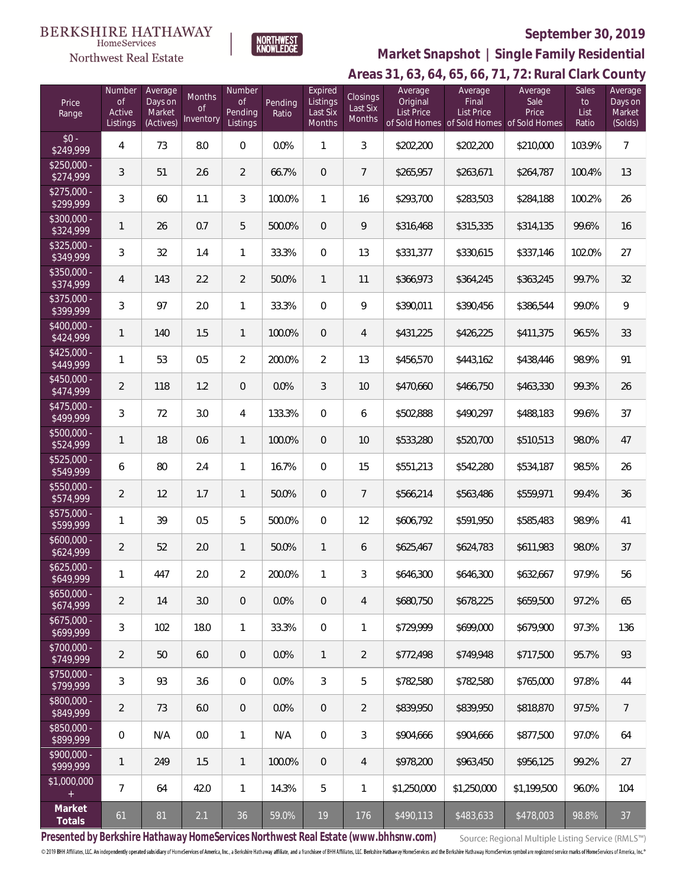#### **BERKSHIRE HATHAWAY**  $\label{lem:sevices} \textsc{Home} \textsc{Service} \textsc{s}$

Northwest Real Estate



## **September 30, 2019**

## **Areas 31, 63, 64, 65, 66, 71, 72: Rural Clark County Market Snapshot | Single Family Residential**

| Price<br>Range            | Number<br>of<br>Active<br>Listings | Average<br>Days on<br>Market<br>(Actives) | Months<br>0f<br><b>Inventory</b> | Number<br>0f<br>Pending<br>Listings | Pending<br>Ratio | Expired<br>Listings<br>Last Six<br>Months | Closings<br>Last Six<br><b>Months</b> | Average<br>Original<br><b>List Price</b> | Average<br>Final<br><b>List Price</b><br>of Sold Homes of Sold Homes of Sold Homes | Average<br>Sale<br>Price | Sales<br>to<br>List<br>Ratio | Average<br>Days on<br>Market<br>(Solds) |
|---------------------------|------------------------------------|-------------------------------------------|----------------------------------|-------------------------------------|------------------|-------------------------------------------|---------------------------------------|------------------------------------------|------------------------------------------------------------------------------------|--------------------------|------------------------------|-----------------------------------------|
| $$0 -$<br>\$249,999       | 4                                  | 73                                        | 8.0                              | $\boldsymbol{0}$                    | 0.0%             | 1                                         | 3                                     | \$202,200                                | \$202,200                                                                          | \$210,000                | 103.9%                       | $\overline{7}$                          |
| $$250,000 -$<br>\$274,999 | 3                                  | 51                                        | 2.6                              | $\overline{2}$                      | 66.7%            | $\overline{0}$                            | $\overline{7}$                        | \$265,957                                | \$263,671                                                                          | \$264,787                | 100.4%                       | 13                                      |
| $$275,000 -$<br>\$299,999 | 3                                  | 60                                        | 1.1                              | 3                                   | 100.0%           | 1                                         | 16                                    | \$293,700                                | \$283,503                                                                          | \$284,188                | 100.2%                       | 26                                      |
| $$300,000 -$<br>\$324,999 | 1                                  | 26                                        | 0.7                              | 5                                   | 500.0%           | $\overline{0}$                            | 9                                     | \$316,468                                | \$315,335                                                                          | \$314,135                | 99.6%                        | 16                                      |
| $$325,000 -$<br>\$349,999 | 3                                  | 32                                        | 1.4                              | $\mathbf{1}$                        | 33.3%            | $\mathbf{0}$                              | 13                                    | \$331,377                                | \$330,615                                                                          | \$337,146                | 102.0%                       | 27                                      |
| $$350.000 -$<br>\$374,999 | 4                                  | 143                                       | 2.2                              | $\overline{2}$                      | 50.0%            | $\mathbf{1}$                              | 11                                    | \$366,973                                | \$364,245                                                                          | \$363,245                | 99.7%                        | 32                                      |
| $$375.000 -$<br>\$399,999 | 3                                  | 97                                        | 2.0                              | $\mathbf{1}$                        | 33.3%            | $\mathbf{0}$                              | 9                                     | \$390,011                                | \$390,456                                                                          | \$386,544                | 99.0%                        | 9                                       |
| $$400.000 -$<br>\$424,999 | 1                                  | 140                                       | 1.5                              | $\mathbf{1}$                        | 100.0%           | $\overline{0}$                            | 4                                     | \$431,225                                | \$426,225                                                                          | \$411,375                | 96.5%                        | 33                                      |
| $$425.000 -$<br>\$449,999 | 1                                  | 53                                        | 0.5                              | $\overline{2}$                      | 200.0%           | $\overline{2}$                            | 13                                    | \$456,570                                | \$443,162                                                                          | \$438,446                | 98.9%                        | 91                                      |
| $$450.000 -$<br>\$474,999 | $\overline{2}$                     | 118                                       | 1.2                              | $\overline{0}$                      | 0.0%             | 3                                         | 10                                    | \$470,660                                | \$466,750                                                                          | \$463,330                | 99.3%                        | 26                                      |
| $$475.000 -$<br>\$499,999 | 3                                  | 72                                        | 3.0                              | $\overline{4}$                      | 133.3%           | 0                                         | 6                                     | \$502,888                                | \$490,297                                                                          | \$488,183                | 99.6%                        | 37                                      |
| $$500,000 -$<br>\$524,999 | 1                                  | 18                                        | 0.6                              | $\mathbf{1}$                        | 100.0%           | $\overline{0}$                            | 10                                    | \$533,280                                | \$520,700                                                                          | \$510,513                | 98.0%                        | 47                                      |
| $$525,000 -$<br>\$549,999 | 6                                  | 80                                        | 2.4                              | $\mathbf{1}$                        | 16.7%            | 0                                         | 15                                    | \$551,213                                | \$542,280                                                                          | \$534,187                | 98.5%                        | 26                                      |
| $$550,000 -$<br>\$574,999 | $\overline{2}$                     | 12                                        | 1.7                              | $\mathbf{1}$                        | 50.0%            | $\overline{0}$                            | 7                                     | \$566,214                                | \$563,486                                                                          | \$559,971                | 99.4%                        | 36                                      |
| $$575,000 -$<br>\$599,999 | 1                                  | 39                                        | 0.5                              | 5                                   | 500.0%           | $\boldsymbol{0}$                          | 12                                    | \$606,792                                | \$591,950                                                                          | \$585,483                | 98.9%                        | 41                                      |
| $$600,000 -$<br>\$624,999 | $\overline{2}$                     | 52                                        | 2.0                              | 1                                   | 50.0%            | $\mathbf{1}$                              | 6                                     | \$625,467                                | \$624,783                                                                          | \$611,983                | 98.0%                        | 37                                      |
| $$625,000 -$<br>\$649,999 | 1.                                 | 447                                       | 2.0                              | $\overline{2}$                      | 200.0%           | 1                                         | 3                                     | \$646,300                                | \$646,300                                                                          | \$632,667                | 97.9%                        | 56                                      |
| $$650,000 -$<br>\$674,999 | $\overline{2}$                     | 14                                        | 3.0                              | $\overline{0}$                      | 0.0%             | $\boldsymbol{0}$                          | 4                                     | \$680,750                                | \$678,225                                                                          | \$659,500                | 97.2%                        | 65                                      |
| $$675,000 -$<br>\$699,999 | 3                                  | 102                                       | 18.0                             | $\mathbf{1}$                        | 33.3%            | $\overline{0}$                            | 1                                     | \$729,999                                | \$699,000                                                                          | \$679,900                | 97.3%                        | 136                                     |
| \$700,000 -<br>\$749,999  | $\overline{2}$                     | 50                                        | 6.0                              | $\overline{0}$                      | $0.0\%$          | $\mathbf{1}$                              | 2                                     | \$772,498                                | \$749,948                                                                          | \$717,500                | 95.7%                        | 93                                      |
| $$750,000 -$<br>\$799,999 | 3                                  | 93                                        | 3.6                              | 0                                   | 0.0%             | 3                                         | 5                                     | \$782,580                                | \$782,580                                                                          | \$765,000                | 97.8%                        | 44                                      |
| $$800,000 -$<br>\$849,999 | 2                                  | 73                                        | 6.0                              | $\overline{0}$                      | 0.0%             | $\overline{0}$                            | $\overline{2}$                        | \$839,950                                | \$839,950                                                                          | \$818,870                | 97.5%                        | $\overline{7}$                          |
| $$850,000 -$<br>\$899,999 | $\mathbf 0$                        | N/A                                       | 0.0                              | $\mathbf{1}$                        | N/A              | $\boldsymbol{0}$                          | 3                                     | \$904,666                                | \$904,666                                                                          | \$877,500                | 97.0%                        | 64                                      |
| $$900,000 -$<br>\$999,999 | 1                                  | 249                                       | 1.5                              | $\mathbf{1}$                        | 100.0%           | $\overline{0}$                            | 4                                     | \$978,200                                | \$963,450                                                                          | \$956,125                | 99.2%                        | 27                                      |
| \$1,000,000               | 7                                  | 64                                        | 42.0                             | $\mathbf{1}$                        | 14.3%            | 5                                         | 1                                     | \$1,250,000                              | \$1,250,000                                                                        | \$1,199,500              | 96.0%                        | 104                                     |
| Market<br>Totals          | 61                                 | 81                                        | 2.1                              | 36                                  | 59.0%            | 19                                        | 176                                   | \$490,113                                | \$483,633                                                                          | \$478,003                | 98.8%                        | 37                                      |

**Presented by Berkshire Hathaway HomeServices Northwest Real Estate (www.bhhsnw.com)**

Source: Regional Multiple Listing Service (RMLS™)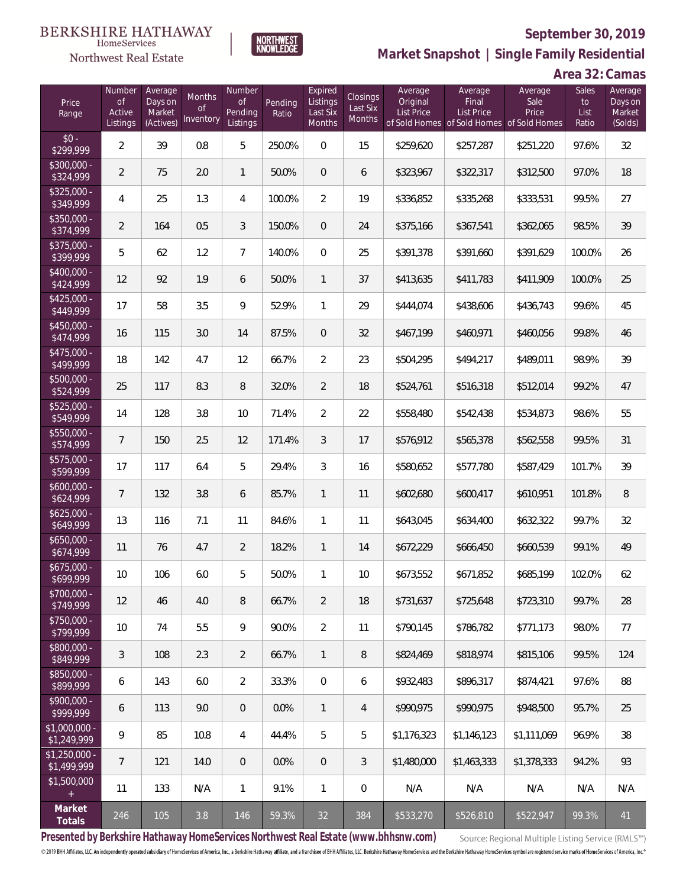

Northwest Real Estate

**NORTHWEST**<br>KNOWLEDGE

**Market Snapshot | Single Family Residential**

| Price<br>Range                | Number<br><b>of</b><br>Active<br>Listings | Average<br>Days on<br>Market<br>(Actives) | Months<br>0f<br>Inventory | Number<br>Οf<br>Pending<br>Listings | Pending<br>Ratio | Expired<br>Listings<br>Last Six<br>Months | Closings<br>Last Six<br>Months | Average<br>Original<br><b>List Price</b> | Average<br>Final<br>List Price<br>of Sold Homes of Sold Homes of Sold Homes | Average<br>Sale<br>Price | Sales<br>to<br>List<br>Ratio | Average<br>Days on<br>Market<br>(Solds) |
|-------------------------------|-------------------------------------------|-------------------------------------------|---------------------------|-------------------------------------|------------------|-------------------------------------------|--------------------------------|------------------------------------------|-----------------------------------------------------------------------------|--------------------------|------------------------------|-----------------------------------------|
| $$0 -$<br>\$299,999           | $\overline{2}$                            | 39                                        | 0.8                       | 5                                   | 250.0%           | $\Omega$                                  | 15                             | \$259,620                                | \$257,287                                                                   | \$251,220                | 97.6%                        | 32                                      |
| \$300,000 -<br>\$324,999      | $\overline{2}$                            | 75                                        | 2.0                       | $\mathbf{1}$                        | 50.0%            | $\overline{0}$                            | 6                              | \$323,967                                | \$322,317                                                                   | \$312,500                | 97.0%                        | 18                                      |
| $$325,000 -$<br>\$349,999     | 4                                         | 25                                        | 1.3                       | $\overline{4}$                      | 100.0%           | $\overline{2}$                            | 19                             | \$336,852                                | \$335,268                                                                   | \$333,531                | 99.5%                        | 27                                      |
| $$350,000 -$<br>\$374,999     | $\overline{2}$                            | 164                                       | 0.5                       | 3                                   | 150.0%           | $\overline{0}$                            | 24                             | \$375,166                                | \$367,541                                                                   | \$362,065                | 98.5%                        | 39                                      |
| $$375,000 -$<br>\$399,999     | 5                                         | 62                                        | 1.2                       | $\overline{7}$                      | 140.0%           | $\overline{0}$                            | 25                             | \$391,378                                | \$391,660                                                                   | \$391,629                | 100.0%                       | 26                                      |
| \$400,000 -<br>\$424,999      | 12                                        | 92                                        | 1.9                       | 6                                   | 50.0%            | $\mathbf{1}$                              | 37                             | \$413,635                                | \$411,783                                                                   | \$411,909                | 100.0%                       | 25                                      |
| $$425,000 -$<br>\$449,999     | 17                                        | 58                                        | 3.5                       | 9                                   | 52.9%            | $\mathbf{1}$                              | 29                             | \$444,074                                | \$438,606                                                                   | \$436,743                | 99.6%                        | 45                                      |
| \$450,000 -<br>\$474,999      | 16                                        | 115                                       | 3.0                       | 14                                  | 87.5%            | $\overline{0}$                            | 32                             | \$467,199                                | \$460,971                                                                   | \$460.056                | 99.8%                        | 46                                      |
| $$475,000 -$<br>\$499,999     | 18                                        | 142                                       | 4.7                       | 12                                  | 66.7%            | $\overline{2}$                            | 23                             | \$504,295                                | \$494,217                                                                   | \$489,011                | 98.9%                        | 39                                      |
| \$500,000 -<br>\$524,999      | 25                                        | 117                                       | 8.3                       | 8                                   | 32.0%            | $\overline{2}$                            | 18                             | \$524,761                                | \$516,318                                                                   | \$512,014                | 99.2%                        | 47                                      |
| $$525,000 -$<br>\$549,999     | 14                                        | 128                                       | 3.8                       | 10                                  | 71.4%            | $\overline{2}$                            | 22                             | \$558,480                                | \$542,438                                                                   | \$534,873                | 98.6%                        | 55                                      |
| \$550,000 -<br>\$574,999      | 7                                         | 150                                       | 2.5                       | 12                                  | 171.4%           | 3                                         | 17                             | \$576,912                                | \$565,378                                                                   | \$562,558                | 99.5%                        | 31                                      |
| $$575,000 -$<br>\$599,999     | 17                                        | 117                                       | 6.4                       | 5                                   | 29.4%            | $\mathfrak{Z}$                            | 16                             | \$580,652                                | \$577,780                                                                   | \$587,429                | 101.7%                       | 39                                      |
| $$600,000 -$<br>\$624,999     | 7                                         | 132                                       | 3.8                       | 6                                   | 85.7%            | $\mathbf{1}$                              | 11                             | \$602,680                                | \$600,417                                                                   | \$610,951                | 101.8%                       | 8                                       |
| $$625,000 -$<br>\$649,999     | 13                                        | 116                                       | 7.1                       | 11                                  | 84.6%            | $\mathbf{1}$                              | 11                             | \$643,045                                | \$634,400                                                                   | \$632,322                | 99.7%                        | 32                                      |
| $$650,000 -$<br>\$674,999     | 11                                        | 76                                        | 4.7                       | $\overline{2}$                      | 18.2%            | $\mathbf{1}$                              | 14                             | \$672,229                                | \$666,450                                                                   | \$660,539                | 99.1%                        | 49                                      |
| $$675,000 -$<br>\$699,999     | 10                                        | 106                                       | 6.0                       | 5                                   | 50.0%            | 1                                         | 10                             | \$673,552                                | \$671,852                                                                   | \$685,199                | 102.0%                       | 62                                      |
| $$700,000 -$<br>\$749,999     | 12                                        | 46                                        | 4.0                       | 8                                   | 66.7%            | $\overline{2}$                            | 18                             | \$731,637                                | \$725.648                                                                   | \$723,310                | 99.7%                        | 28                                      |
| $$750,000 -$<br>\$799,999     | 10                                        | 74                                        | 5.5                       | 9                                   | 90.0%            | $\overline{2}$                            | 11                             | \$790.145                                | \$786,782                                                                   | \$771,173                | 98.0%                        | 77                                      |
| \$800,000 -<br>\$849,999      | 3                                         | 108                                       | 2.3                       | 2                                   | 66.7%            | $\mathbf{1}$                              | 8                              | \$824,469                                | \$818,974                                                                   | \$815,106                | 99.5%                        | 124                                     |
| $$850,000 -$<br>\$899,999     | 6                                         | 143                                       | 6.0                       | $\overline{2}$                      | 33.3%            | $\overline{0}$                            | 6                              | \$932,483                                | \$896,317                                                                   | \$874,421                | 97.6%                        | 88                                      |
| $$900,000 -$<br>\$999,999     | 6                                         | 113                                       | 9.0                       | $\theta$                            | 0.0%             | $\mathbf{1}$                              | 4                              | \$990.975                                | \$990,975                                                                   | \$948,500                | 95.7%                        | 25                                      |
| $$1,000,000 -$<br>\$1,249,999 | 9                                         | 85                                        | 10.8                      | $\overline{4}$                      | 44.4%            | 5                                         | 5                              | \$1,176,323                              | \$1,146,123                                                                 | \$1,111,069              | 96.9%                        | 38                                      |
| $$1,250,000 -$<br>\$1,499,999 | $\overline{7}$                            | 121                                       | 14.0                      | $\theta$                            | 0.0%             | $\overline{0}$                            | 3                              | \$1,480,000                              | \$1,463,333                                                                 | \$1,378,333              | 94.2%                        | 93                                      |
| \$1,500,000<br>$+$            | 11                                        | 133                                       | N/A                       | $\mathbf{1}$                        | 9.1%             | $\mathbf{1}$                              | 0                              | N/A                                      | N/A                                                                         | N/A                      | N/A                          | N/A                                     |
| Market<br>Totals              | 246                                       | 105                                       | 3.8                       | 146                                 | 59.3%            | 32                                        | 384                            | \$533,270                                | \$526,810                                                                   | \$522,947                | 99.3%                        | 41                                      |

**Presented by Berkshire Hathaway HomeServices Northwest Real Estate (www.bhhsnw.com)**

Source: Regional Multiple Listing Service (RMLS™)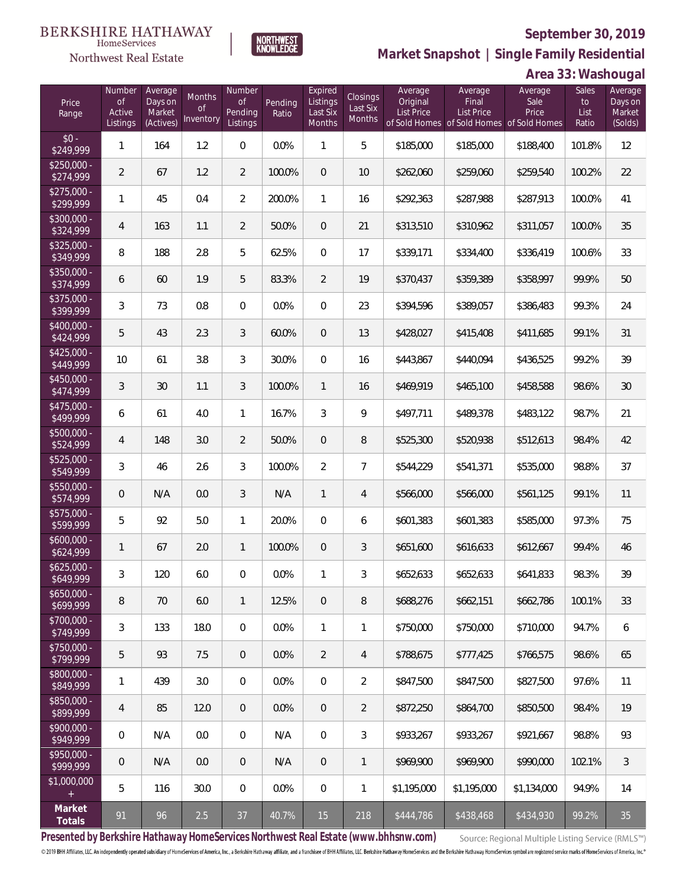

NORTHWEST<br>KNOWLEDGE

Northwest Real Estate

**Market Snapshot | Single Family Residential**

## **Area 33: Washougal**

| Price<br>Range                    | Number<br><b>of</b><br>Active<br>Listings | Average<br>Days on<br>Market<br>(Actives) | Months<br><b>of</b><br>Inventory | <b>Number</b><br>Οf<br>Pending<br>Listings | Pending<br>Ratio | Expired<br>Listings<br>Last Six<br>Months | Closings<br>Last Six<br><b>Months</b> | Average<br>Original<br>List Price | Average<br>Final<br><b>List Price</b><br>of Sold Homes of Sold Homes of Sold Homes | Average<br>Sale<br>Price | <b>Sales</b><br>to<br>List<br>Ratio | Average<br>Days on<br>Market<br>(Solds) |
|-----------------------------------|-------------------------------------------|-------------------------------------------|----------------------------------|--------------------------------------------|------------------|-------------------------------------------|---------------------------------------|-----------------------------------|------------------------------------------------------------------------------------|--------------------------|-------------------------------------|-----------------------------------------|
| $$0 -$<br>\$249,999               | $\mathbf{1}$                              | 164                                       | 1.2                              | $\Omega$                                   | 0.0%             | 1                                         | 5                                     | \$185,000                         | \$185,000                                                                          | \$188,400                | 101.8%                              | 12                                      |
| $$250,000 -$<br>\$274,999         | $\overline{2}$                            | 67                                        | 1.2                              | $\overline{2}$                             | 100.0%           | $\overline{0}$                            | 10                                    | \$262,060                         | \$259,060                                                                          | \$259,540                | 100.2%                              | 22                                      |
| $$275,000 -$<br>\$299,999         | $\mathbf{1}$                              | 45                                        | 0.4                              | $\overline{2}$                             | 200.0%           | $\mathbf{1}$                              | 16                                    | \$292,363                         | \$287,988                                                                          | \$287,913                | 100.0%                              | 41                                      |
| $$300,000 -$<br>\$324,999         | $\overline{4}$                            | 163                                       | 1.1                              | $\overline{2}$                             | 50.0%            | $\overline{0}$                            | 21                                    | \$313,510                         | \$310,962                                                                          | \$311,057                | 100.0%                              | 35                                      |
| $$325,000 -$<br>\$349,999         | 8                                         | 188                                       | 2.8                              | 5                                          | 62.5%            | $\mathbf{0}$                              | 17                                    | \$339,171                         | \$334,400                                                                          | \$336,419                | 100.6%                              | 33                                      |
| $$350,000 -$<br>\$374,999         | 6                                         | 60                                        | 1.9                              | 5                                          | 83.3%            | 2                                         | 19                                    | \$370,437                         | \$359,389                                                                          | \$358,997                | 99.9%                               | 50                                      |
| $$375,000 -$<br>\$399,999         | 3                                         | 73                                        | 0.8                              | $\overline{0}$                             | 0.0%             | $\overline{0}$                            | 23                                    | \$394,596                         | \$389,057                                                                          | \$386,483                | 99.3%                               | 24                                      |
| $$400,000 -$<br>\$424,999         | 5                                         | 43                                        | 2.3                              | 3                                          | 60.0%            | $\overline{0}$                            | 13                                    | \$428,027                         | \$415,408                                                                          | \$411,685                | 99.1%                               | 31                                      |
| $$425,000 -$<br>\$449,999         | 10                                        | 61                                        | 3.8                              | 3                                          | 30.0%            | $\overline{0}$                            | 16                                    | \$443,867                         | \$440,094                                                                          | \$436,525                | 99.2%                               | 39                                      |
| $$450,000 -$<br>\$474,999         | 3                                         | 30                                        | 1.1                              | 3                                          | 100.0%           | $\mathbf{1}$                              | 16                                    | \$469,919                         | \$465,100                                                                          | \$458,588                | 98.6%                               | 30                                      |
| $$475,000 -$<br>$\sqrt{$499,999}$ | 6                                         | 61                                        | 4.0                              | $\mathbf{1}$                               | 16.7%            | 3                                         | 9                                     | \$497,711                         | \$489,378                                                                          | \$483,122                | 98.7%                               | 21                                      |
| $$500,000 -$<br>\$524,999         | $\overline{4}$                            | 148                                       | 3.0                              | $\overline{2}$                             | 50.0%            | $\overline{0}$                            | 8                                     | \$525,300                         | \$520,938                                                                          | \$512,613                | 98.4%                               | 42                                      |
| $$525,000 -$<br>\$549,999         | $\mathfrak{Z}$                            | 46                                        | 2.6                              | 3                                          | 100.0%           | $\overline{2}$                            | $\overline{7}$                        | \$544,229                         | \$541,371                                                                          | \$535,000                | 98.8%                               | 37                                      |
| $$550,000 -$<br>\$574,999         | $\overline{0}$                            | N/A                                       | 0.0                              | 3                                          | N/A              | $\mathbf{1}$                              | $\overline{4}$                        | \$566,000                         | \$566,000                                                                          | \$561,125                | 99.1%                               | 11                                      |
| $$575,000 -$<br>\$599,999         | 5                                         | 92                                        | 5.0                              | $\mathbf{1}$                               | 20.0%            | $\overline{0}$                            | 6                                     | \$601,383                         | \$601,383                                                                          | \$585,000                | 97.3%                               | 75                                      |
| $$600,000 -$<br>\$624,999         | $\mathbf{1}$                              | 67                                        | 2.0                              | $\mathbf{1}$                               | 100.0%           | $\overline{0}$                            | 3                                     | \$651,600                         | \$616,633                                                                          | \$612,667                | 99.4%                               | 46                                      |
| $$625,000 -$<br>\$649,999         | 3                                         | 120                                       | 6.0                              | $\mathbf{0}$                               | 0.0%             | $\mathbf{1}$                              | 3                                     | \$652,633                         | \$652,633                                                                          | \$641,833                | 98.3%                               | 39                                      |
| $$650,000 -$<br>\$699,999         | 8                                         | 70                                        | 6.0                              | $\mathbf{1}$                               | 12.5%            | $\theta$                                  | 8                                     | \$688,276                         | \$662,151                                                                          | \$662,786                | 100.1%                              | 33                                      |
| $$700,000 -$<br>\$749,999         | $\mathfrak{Z}$                            | 133                                       | 18.0                             | 0                                          | 0.0%             | $\mathbf{1}$                              | 1                                     | \$750,000                         | \$750,000                                                                          | \$710,000                | 94.7%                               | 6                                       |
| \$750,000 -<br>\$799,999          | 5                                         | 93                                        | 7.5                              | $\overline{0}$                             | 0.0%             | $\overline{2}$                            | $\overline{4}$                        | \$788,675                         | \$777,425                                                                          | \$766.575                | 98.6%                               | 65                                      |
| $$800,000 -$<br>\$849,999         | $\mathbf{1}$                              | 439                                       | 3.0                              | 0                                          | 0.0%             | $\boldsymbol{0}$                          | $\overline{2}$                        | \$847,500                         | \$847,500                                                                          | \$827,500                | 97.6%                               | 11                                      |
| $$850,000 -$<br>\$899,999         | $\overline{4}$                            | 85                                        | 12.0                             | $\overline{0}$                             | 0.0%             | $\overline{0}$                            | $\overline{2}$                        | \$872,250                         | \$864,700                                                                          | \$850,500                | 98.4%                               | 19                                      |
| $$900,000 -$<br>\$949,999         | 0                                         | N/A                                       | 0.0                              | 0                                          | N/A              | $\boldsymbol{0}$                          | 3                                     | \$933,267                         | \$933,267                                                                          | \$921,667                | 98.8%                               | 93                                      |
| \$950,000 -<br>\$999,999          | $\mathsf{O}\xspace$                       | N/A                                       | 0.0                              | $\mathbf 0$                                | N/A              | $\overline{0}$                            | 1                                     | \$969,900                         | \$969,900                                                                          | \$990,000                | 102.1%                              | $\mathfrak{Z}$                          |
| \$1,000,000<br>$+$                | 5                                         | 116                                       | 30.0                             | $\boldsymbol{0}$                           | 0.0%             | $\mathbf 0$                               | 1                                     | \$1,195,000                       | \$1,195,000                                                                        | \$1,134,000              | 94.9%                               | 14                                      |
| Market<br>Totals                  | 91                                        | 96                                        | 2.5                              | 37                                         | 40.7%            | 15                                        | 218                                   | \$444,786                         | \$438,468                                                                          | \$434,930                | 99.2%                               | 35                                      |

**Presented by Berkshire Hathaway HomeServices Northwest Real Estate (www.bhhsnw.com)**

Source: Regional Multiple Listing Service (RMLS™)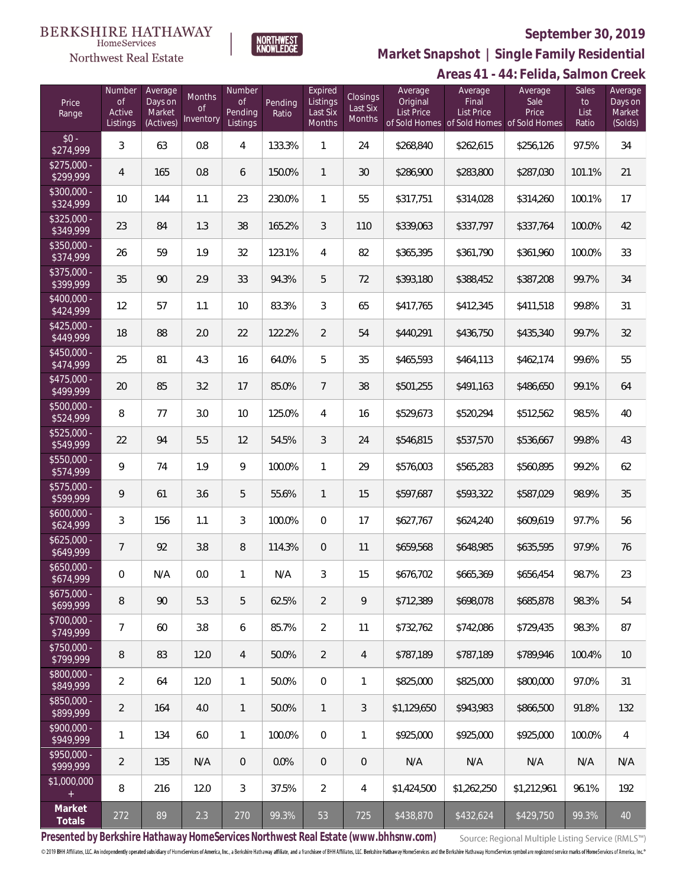#### **BERKSHIRE HATHAWAY**  $\label{lem:sevices} \textsc{Home} \textsc{Service} \textsc{s}$

Northwest Real Estate



## **September 30, 2019**

**Areas 41 - 44: Felida, Salmon Creek Market Snapshot | Single Family Residential**

|                           |                                           |                                           |                                         |                                            |                  |                                           |                                              |                                          |                                                                                    | .<br>iiuu, Juliiu        |                                     |                                         |
|---------------------------|-------------------------------------------|-------------------------------------------|-----------------------------------------|--------------------------------------------|------------------|-------------------------------------------|----------------------------------------------|------------------------------------------|------------------------------------------------------------------------------------|--------------------------|-------------------------------------|-----------------------------------------|
| Price<br>Range            | Number<br><b>of</b><br>Active<br>Listings | Average<br>Days on<br>Market<br>(Actives) | <b>Months</b><br><b>of</b><br>Inventory | Number<br><b>of</b><br>Pending<br>Listings | Pending<br>Ratio | Expired<br>Listings<br>Last Six<br>Months | <b>Closings</b><br>Last Six<br><b>Months</b> | Average<br>Original<br><b>List Price</b> | Average<br>Final<br><b>List Price</b><br>of Sold Homes of Sold Homes of Sold Homes | Average<br>Sale<br>Price | <b>Sales</b><br>to<br>List<br>Ratio | Average<br>Days on<br>Market<br>(Solds) |
| $$0 -$<br>\$274,999       | 3                                         | 63                                        | 0.8                                     | 4                                          | 133.3%           | $\mathbf{1}$                              | 24                                           | \$268,840                                | \$262,615                                                                          | \$256,126                | 97.5%                               | 34                                      |
| $$275,000 -$<br>\$299,999 | 4                                         | 165                                       | 0.8                                     | 6                                          | 150.0%           | $\mathbf{1}$                              | 30                                           | \$286,900                                | \$283,800                                                                          | \$287,030                | 101.1%                              | 21                                      |
| $$300,000 -$<br>\$324,999 | 10                                        | 144                                       | 1.1                                     | 23                                         | 230.0%           | $\mathbf{1}$                              | 55                                           | \$317,751                                | \$314,028                                                                          | \$314,260                | 100.1%                              | 17                                      |
| $$325,000 -$<br>\$349,999 | 23                                        | 84                                        | 1.3                                     | 38                                         | 165.2%           | $\mathfrak{Z}$                            | 110                                          | \$339,063                                | \$337,797                                                                          | \$337,764                | 100.0%                              | 42                                      |
| $$350,000 -$<br>\$374,999 | 26                                        | 59                                        | 1.9                                     | 32                                         | 123.1%           | $\overline{4}$                            | 82                                           | \$365,395                                | \$361,790                                                                          | \$361,960                | 100.0%                              | 33                                      |
| $$375,000 -$<br>\$399,999 | 35                                        | 90                                        | 2.9                                     | 33                                         | 94.3%            | 5                                         | 72                                           | \$393,180                                | \$388,452                                                                          | \$387,208                | 99.7%                               | 34                                      |
| $$400,000 -$<br>\$424,999 | 12                                        | 57                                        | 1.1                                     | 10                                         | 83.3%            | $\mathfrak{Z}$                            | 65                                           | \$417,765                                | \$412,345                                                                          | \$411,518                | 99.8%                               | 31                                      |
| $$425,000 -$<br>\$449,999 | 18                                        | 88                                        | 2.0                                     | 22                                         | 122.2%           | $\overline{2}$                            | 54                                           | \$440,291                                | \$436,750                                                                          | \$435,340                | 99.7%                               | 32                                      |
| $$450,000 -$<br>\$474,999 | 25                                        | 81                                        | 4.3                                     | 16                                         | 64.0%            | 5                                         | 35                                           | \$465,593                                | \$464,113                                                                          | \$462,174                | 99.6%                               | 55                                      |
| $$475,000 -$<br>\$499,999 | 20                                        | 85                                        | 3.2                                     | 17                                         | 85.0%            | $\overline{7}$                            | 38                                           | \$501,255                                | \$491,163                                                                          | \$486,650                | 99.1%                               | 64                                      |
| $$500,000 -$<br>\$524,999 | 8                                         | 77                                        | 3.0                                     | 10                                         | 125.0%           | $\overline{4}$                            | 16                                           | \$529,673                                | \$520,294                                                                          | \$512,562                | 98.5%                               | 40                                      |
| \$525,000 -<br>\$549,999  | 22                                        | 94                                        | 5.5                                     | 12                                         | 54.5%            | $\mathfrak{Z}$                            | 24                                           | \$546,815                                | \$537,570                                                                          | \$536,667                | 99.8%                               | 43                                      |
| $$550,000 -$<br>\$574,999 | 9                                         | 74                                        | 1.9                                     | 9                                          | 100.0%           | $\mathbf{1}$                              | 29                                           | \$576,003                                | \$565,283                                                                          | \$560,895                | 99.2%                               | 62                                      |
| $$575,000 -$<br>\$599,999 | 9                                         | 61                                        | 3.6                                     | 5                                          | 55.6%            | $\mathbf{1}$                              | 15                                           | \$597,687                                | \$593,322                                                                          | \$587,029                | 98.9%                               | 35                                      |
| $$600,000 -$<br>\$624,999 | 3                                         | 156                                       | 1.1                                     | 3                                          | 100.0%           | $\mathbf 0$                               | 17                                           | \$627,767                                | \$624,240                                                                          | \$609,619                | 97.7%                               | 56                                      |
| $$625,000 -$<br>\$649,999 | $\overline{7}$                            | 92                                        | 3.8                                     | 8                                          | 114.3%           | $\mathbf 0$                               | 11                                           | \$659,568                                | \$648,985                                                                          | \$635,595                | 97.9%                               | 76                                      |
| $$650,000 -$<br>\$674,999 | 0                                         | N/A                                       | 0.0                                     | $\mathbf{1}$                               | N/A              | 3                                         | 15                                           | \$676,702                                | \$665,369                                                                          | \$656,454                | 98.7%                               | 23                                      |
| $$675,000 -$<br>\$699,999 | 8                                         | 90                                        | 5.3                                     | 5                                          | 62.5%            | $\overline{2}$                            | 9                                            | \$712,389                                | \$698,078                                                                          | \$685,878                | 98.3%                               | 54                                      |
| $$700,000 -$<br>\$749,999 | $7\phantom{.}$                            | 60                                        | 3.8                                     | 6                                          | 85.7%            | $\overline{2}$                            | 11                                           | \$732,762                                | \$742,086                                                                          | \$729,435                | 98.3%                               | 87                                      |
| $$750,000 -$<br>\$799,999 | 8                                         | 83                                        | 12.0                                    | $\overline{4}$                             | 50.0%            | $\overline{2}$                            | $\overline{4}$                               | \$787,189                                | \$787,189                                                                          | \$789,946                | 100.4%                              | 10                                      |
| \$800,000 -<br>\$849,999  | $\overline{2}$                            | 64                                        | 12.0                                    | $\mathbf{1}$                               | 50.0%            | $\mathbf 0$                               | 1                                            | \$825,000                                | \$825,000                                                                          | \$800,000                | 97.0%                               | 31                                      |
| \$850,000 -<br>\$899,999  | $\overline{2}$                            | 164                                       | 4.0                                     | $\mathbf{1}$                               | 50.0%            | $\mathbf{1}$                              | $\mathfrak{Z}$                               | \$1,129,650                              | \$943,983                                                                          | \$866,500                | 91.8%                               | 132                                     |
| $$900,000 -$<br>\$949,999 | $\mathbf{1}$                              | 134                                       | 6.0                                     | $\mathbf{1}$                               | 100.0%           | $\overline{0}$                            | 1                                            | \$925,000                                | \$925,000                                                                          | \$925,000                | 100.0%                              | 4                                       |
| \$950,000 -<br>\$999,999  | $\overline{2}$                            | 135                                       | N/A                                     | $\mathbf 0$                                | 0.0%             | $\mathbf 0$                               | $\boldsymbol{0}$                             | N/A                                      | N/A                                                                                | N/A                      | N/A                                 | N/A                                     |
| \$1,000,000<br>$+$        | 8                                         | 216                                       | 12.0                                    | $\mathfrak{Z}$                             | 37.5%            | $\overline{2}$                            | $\overline{4}$                               | \$1,424,500                              | \$1,262,250                                                                        | \$1,212,961              | 96.1%                               | 192                                     |
| Market<br>Totals          | 272                                       | 89                                        | 2.3                                     | 270                                        | 99.3%            | 53                                        | 725                                          | \$438,870                                | \$432,624                                                                          | \$429,750                | 99.3%                               | 40                                      |

**Presented by Berkshire Hathaway HomeServices Northwest Real Estate (www.bhhsnw.com)**

Source: Regional Multiple Listing Service (RMLS™)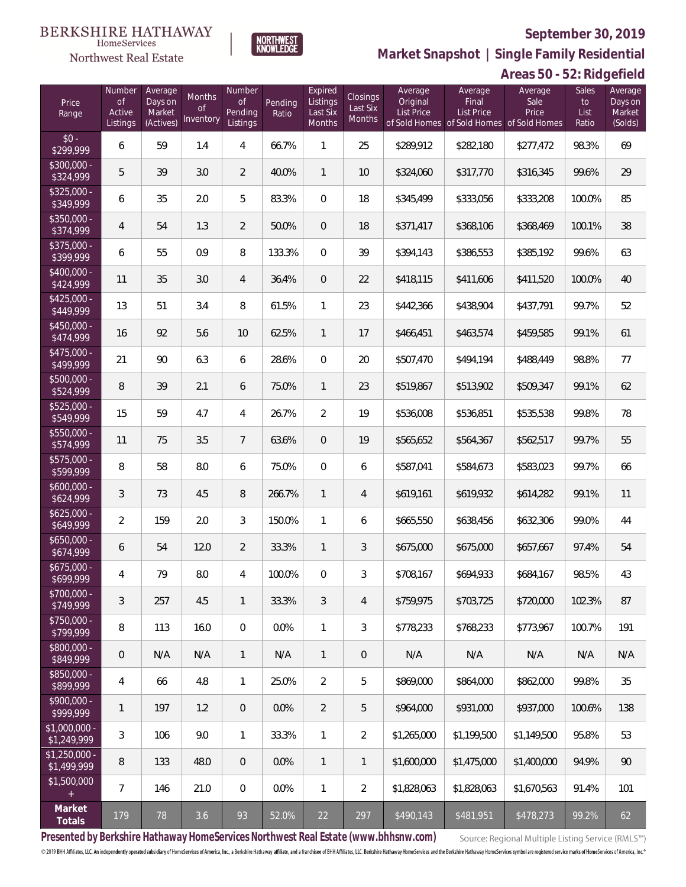

**NORTHWEST**<br>KNOWLEDGE

Northwest Real Estate

**Market Snapshot | Single Family Residential**

# **Areas 50 - 52: Ridgefield**

| Price<br>Range                | Number<br>of<br>Active<br>Listings | Average<br>Days on<br>Market<br>(Actives) | Months<br>0f<br>Inventory | Number<br>Οf<br>Pending<br>Listings | Pending<br>Ratio | Expired<br>Listings<br>Last Six<br><b>Months</b> | Closings<br>Last Six<br><b>Months</b> | Average<br>Original<br>List Price | Average<br>Final<br>List Price<br>of Sold Homes of Sold Homes of Sold Homes | Average<br>Sale<br>Price | Sales<br>to<br>List<br>Ratio | Average<br>Days on<br>Market<br>(Solds) |
|-------------------------------|------------------------------------|-------------------------------------------|---------------------------|-------------------------------------|------------------|--------------------------------------------------|---------------------------------------|-----------------------------------|-----------------------------------------------------------------------------|--------------------------|------------------------------|-----------------------------------------|
| $$0 -$<br>\$299,999           | 6                                  | 59                                        | 1.4                       | 4                                   | 66.7%            | 1                                                | 25                                    | \$289,912                         | \$282,180                                                                   | \$277,472                | 98.3%                        | 69                                      |
| $$300,000 -$<br>\$324,999     | 5                                  | 39                                        | 3.0                       | $\overline{2}$                      | 40.0%            | $\mathbf{1}$                                     | 10                                    | \$324,060                         | \$317,770                                                                   | \$316,345                | 99.6%                        | 29                                      |
| $$325,000 -$<br>\$349,999     | 6                                  | 35                                        | 2.0                       | 5                                   | 83.3%            | $\mathbf{0}$                                     | 18                                    | \$345,499                         | \$333,056                                                                   | \$333,208                | 100.0%                       | 85                                      |
| \$350,000 -<br>\$374,999      | 4                                  | 54                                        | 1.3                       | $\overline{2}$                      | 50.0%            | $\overline{0}$                                   | 18                                    | \$371,417                         | \$368,106                                                                   | \$368,469                | 100.1%                       | 38                                      |
| $$375,000 -$<br>\$399,999     | 6                                  | 55                                        | 0.9                       | 8                                   | 133.3%           | $\overline{0}$                                   | 39                                    | \$394,143                         | \$386,553                                                                   | \$385,192                | 99.6%                        | 63                                      |
| \$400,000 -<br>\$424,999      | 11                                 | 35                                        | 3.0                       | $\overline{4}$                      | 36.4%            | $\mathbf{0}$                                     | 22                                    | \$418,115                         | \$411,606                                                                   | \$411,520                | 100.0%                       | 40                                      |
| $$425,000 -$<br>\$449,999     | 13                                 | 51                                        | 3.4                       | 8                                   | 61.5%            | 1                                                | 23                                    | \$442,366                         | \$438,904                                                                   | \$437,791                | 99.7%                        | 52                                      |
| $$450,000 -$<br>\$474,999     | 16                                 | 92                                        | 5.6                       | 10                                  | 62.5%            | $\mathbf{1}$                                     | 17                                    | \$466,451                         | \$463,574                                                                   | \$459,585                | 99.1%                        | 61                                      |
| \$475,000 -<br>\$499,999      | 21                                 | 90                                        | 6.3                       | 6                                   | 28.6%            | $\overline{0}$                                   | 20                                    | \$507,470                         | \$494,194                                                                   | \$488,449                | 98.8%                        | 77                                      |
| \$500,000 -<br>\$524,999      | 8                                  | 39                                        | 2.1                       | 6                                   | 75.0%            | $\mathbf{1}$                                     | 23                                    | \$519,867                         | \$513,902                                                                   | \$509,347                | 99.1%                        | 62                                      |
| \$525,000 -<br>\$549,999      | 15                                 | 59                                        | 4.7                       | 4                                   | 26.7%            | $\overline{2}$                                   | 19                                    | \$536,008                         | \$536,851                                                                   | \$535,538                | 99.8%                        | 78                                      |
| \$550,000 -<br>\$574,999      | 11                                 | 75                                        | 3.5                       | $7\overline{ }$                     | 63.6%            | $\mathbf{0}$                                     | 19                                    | \$565,652                         | \$564,367                                                                   | \$562,517                | 99.7%                        | 55                                      |
| \$575,000 -<br>\$599,999      | 8                                  | 58                                        | 8.0                       | 6                                   | 75.0%            | $\overline{0}$                                   | 6                                     | \$587,041                         | \$584,673                                                                   | \$583,023                | 99.7%                        | 66                                      |
| $$600,000 -$<br>\$624,999     | 3                                  | 73                                        | 4.5                       | 8                                   | 266.7%           | $\mathbf{1}$                                     | 4                                     | \$619,161                         | \$619,932                                                                   | \$614,282                | 99.1%                        | 11                                      |
| $$625,000 -$<br>\$649,999     | $\overline{2}$                     | 159                                       | 2.0                       | 3                                   | 150.0%           | 1                                                | 6                                     | \$665,550                         | \$638,456                                                                   | \$632,306                | 99.0%                        | 44                                      |
| $$650,000 -$<br>\$674,999     | 6                                  | 54                                        | 12.0                      | $\overline{2}$                      | 33.3%            | $\mathbf{1}$                                     | 3                                     | \$675,000                         | \$675,000                                                                   | \$657,667                | 97.4%                        | 54                                      |
| $$675,000 -$<br>\$699,999     | 4                                  | 79                                        | 8.0                       | 4                                   | 100.0%           | 0                                                | 3                                     | \$708,167                         | \$694,933                                                                   | \$684,167                | 98.5%                        | 43                                      |
| \$700,000 -<br>\$749,999      | 3                                  | 257                                       | 4.5                       | $\mathbf{1}$                        | 33.3%            | 3                                                | 4                                     | \$759,975                         | \$703,725                                                                   | \$720,000                | 102.3%                       | 87                                      |
| $$750,000 -$<br>\$799,999     | 8                                  | 113                                       | 16.0                      | $\mathbf{0}$                        | 0.0%             | $\mathbf{1}$                                     | 3                                     | \$778,233                         | \$768,233                                                                   | \$773,967                | 100.7%                       | 191                                     |
| \$800,000 -<br>\$849,999      | $\mathbf 0$                        | N/A                                       | N/A                       | $\mathbf{1}$                        | N/A              | $\mathbf{1}$                                     | 0                                     | N/A                               | N/A                                                                         | N/A                      | N/A                          | N/A                                     |
| \$850,000 -<br>\$899,999      | 4                                  | 66                                        | 4.8                       | $\mathbf{1}$                        | 25.0%            | $\overline{2}$                                   | 5                                     | \$869,000                         | \$864,000                                                                   | \$862,000                | 99.8%                        | 35                                      |
| $$900,000 -$<br>\$999,999     | 1                                  | 197                                       | 1.2                       | $\overline{0}$                      | 0.0%             | $\overline{2}$                                   | 5                                     | \$964,000                         | \$931,000                                                                   | \$937,000                | 100.6%                       | 138                                     |
| \$1,000,000 -<br>\$1,249,999  | 3                                  | 106                                       | 9.0                       | $\mathbf{1}$                        | 33.3%            | $\mathbf{1}$                                     | $\overline{2}$                        | \$1,265,000                       | \$1,199,500                                                                 | \$1,149,500              | 95.8%                        | 53                                      |
| $$1,250,000 -$<br>\$1,499,999 | 8                                  | 133                                       | 48.0                      | $\overline{0}$                      | 0.0%             | $\mathbf{1}$                                     | $\mathbf{1}$                          | \$1,600,000                       | \$1,475,000                                                                 | \$1,400,000              | 94.9%                        | 90                                      |
| \$1,500,000                   | $\overline{7}$                     | 146                                       | 21.0                      | 0                                   | 0.0%             | $\mathbf{1}$                                     | $\overline{2}$                        | \$1,828,063                       | \$1,828,063                                                                 | \$1,670,563              | 91.4%                        | 101                                     |
| Market<br>Totals              | 179                                | 78                                        | 3.6                       | 93                                  | 52.0%            | 22                                               | 297                                   | \$490,143                         | \$481,951                                                                   | \$478,273                | 99.2%                        | 62                                      |

**Presented by Berkshire Hathaway HomeServices Northwest Real Estate (www.bhhsnw.com)**

Source: Regional Multiple Listing Service (RMLS™)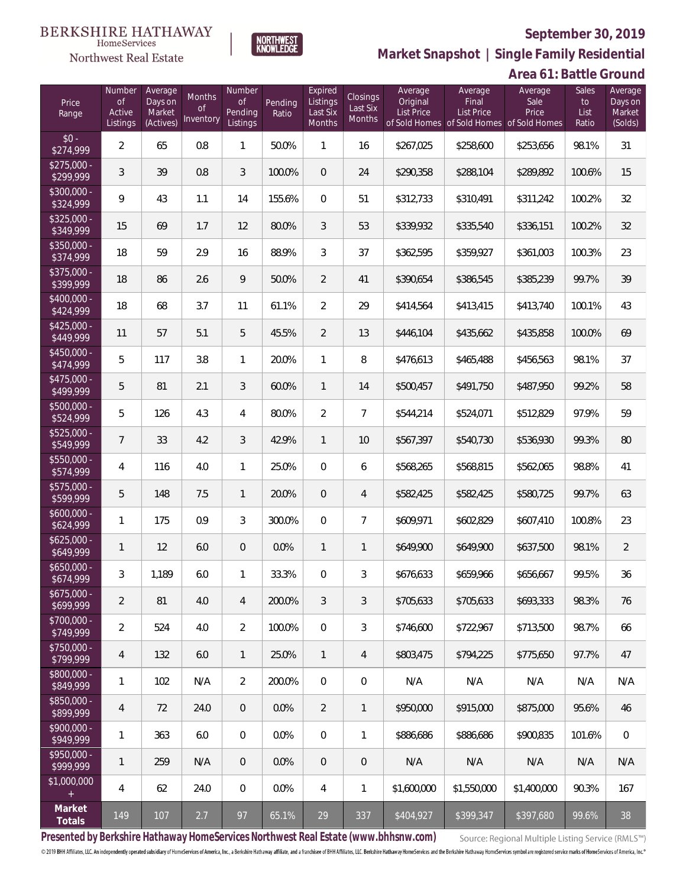

NORTHWEST<br>KNOWLFDGF

Northwest Real Estate

**Market Snapshot | Single Family Residential**

# **Area 61: Battle Ground**

| Price<br>Range            | Number<br><b>of</b><br>Active<br>Listings | Average<br>Days on<br>Market<br>(Actives) | Months<br>0f<br>Inventory | Number<br>Οf<br>Pending<br>Listings | Pending<br>Ratio | Expired<br>Listings<br>Last Six<br>Months | <b>Closings</b><br>Last Six<br>Months | Average<br>Original<br><b>List Price</b> | Average<br>Final<br>List Price<br>of Sold Homes of Sold Homes of Sold Homes | Average<br>Sale<br>Price | Sales<br>to<br>List<br>Ratio | Average<br>Days on<br>Market<br>(Solds) |
|---------------------------|-------------------------------------------|-------------------------------------------|---------------------------|-------------------------------------|------------------|-------------------------------------------|---------------------------------------|------------------------------------------|-----------------------------------------------------------------------------|--------------------------|------------------------------|-----------------------------------------|
| $$0 -$<br>\$274,999       | $\overline{2}$                            | 65                                        | 0.8                       | $\mathbf{1}$                        | 50.0%            | 1                                         | 16                                    | \$267,025                                | \$258,600                                                                   | \$253,656                | 98.1%                        | 31                                      |
| $$275.000 -$<br>\$299,999 | 3                                         | 39                                        | 0.8                       | 3                                   | 100.0%           | $\overline{0}$                            | 24                                    | \$290,358                                | \$288,104                                                                   | \$289,892                | 100.6%                       | 15                                      |
| $$300,000 -$<br>\$324,999 | 9                                         | 43                                        | 1.1                       | 14                                  | 155.6%           | $\mathbf{0}$                              | 51                                    | \$312,733                                | \$310,491                                                                   | \$311,242                | 100.2%                       | 32                                      |
| $$325.000 -$<br>\$349,999 | 15                                        | 69                                        | 1.7                       | 12                                  | 80.0%            | 3                                         | 53                                    | \$339,932                                | \$335,540                                                                   | \$336,151                | 100.2%                       | 32                                      |
| \$350,000 -<br>\$374,999  | 18                                        | 59                                        | 2.9                       | 16                                  | 88.9%            | 3                                         | 37                                    | \$362,595                                | \$359,927                                                                   | \$361,003                | 100.3%                       | 23                                      |
| \$375,000 -<br>\$399,999  | 18                                        | 86                                        | 2.6                       | 9                                   | 50.0%            | $\overline{2}$                            | 41                                    | \$390,654                                | \$386,545                                                                   | \$385,239                | 99.7%                        | 39                                      |
| \$400,000 -<br>\$424,999  | 18                                        | 68                                        | 3.7                       | 11                                  | 61.1%            | $\overline{2}$                            | 29                                    | \$414,564                                | \$413,415                                                                   | \$413,740                | 100.1%                       | 43                                      |
| \$425,000 -<br>\$449,999  | 11                                        | 57                                        | 5.1                       | 5                                   | 45.5%            | $\overline{2}$                            | 13                                    | \$446,104                                | \$435,662                                                                   | \$435,858                | 100.0%                       | 69                                      |
| \$450,000 -<br>\$474,999  | 5                                         | 117                                       | 3.8                       | $\mathbf{1}$                        | 20.0%            | $\mathbf{1}$                              | 8                                     | \$476,613                                | \$465,488                                                                   | \$456,563                | 98.1%                        | 37                                      |
| \$475,000 -<br>\$499,999  | 5                                         | 81                                        | 2.1                       | 3                                   | 60.0%            | $\mathbf{1}$                              | 14                                    | \$500,457                                | \$491,750                                                                   | \$487,950                | 99.2%                        | 58                                      |
| \$500,000 -<br>\$524,999  | 5                                         | 126                                       | 4.3                       | $\overline{4}$                      | 80.0%            | $\overline{2}$                            | $\overline{7}$                        | \$544,214                                | \$524,071                                                                   | \$512,829                | 97.9%                        | 59                                      |
| \$525,000 -<br>\$549,999  | $\overline{7}$                            | 33                                        | 4.2                       | 3                                   | 42.9%            | $\mathbf{1}$                              | 10                                    | \$567,397                                | \$540,730                                                                   | \$536,930                | 99.3%                        | 80                                      |
| \$550,000 -<br>\$574,999  | 4                                         | 116                                       | 4.0                       | $\mathbf{1}$                        | 25.0%            | $\overline{0}$                            | 6                                     | \$568,265                                | \$568,815                                                                   | \$562,065                | 98.8%                        | 41                                      |
| $$575,000 -$<br>\$599,999 | 5                                         | 148                                       | 7.5                       | $\mathbf{1}$                        | 20.0%            | $\overline{0}$                            | $\overline{4}$                        | \$582,425                                | \$582,425                                                                   | \$580,725                | 99.7%                        | 63                                      |
| $$600,000 -$<br>\$624,999 | $\mathbf{1}$                              | 175                                       | 0.9                       | 3                                   | 300.0%           | $\overline{0}$                            | $\overline{7}$                        | \$609,971                                | \$602,829                                                                   | \$607,410                | 100.8%                       | 23                                      |
| $$625,000 -$<br>\$649,999 | $\mathbf{1}$                              | 12                                        | 6.0                       | $\theta$                            | 0.0%             | $\mathbf{1}$                              | 1                                     | \$649,900                                | \$649,900                                                                   | \$637,500                | 98.1%                        | $\overline{2}$                          |
| $$650,000 -$<br>\$674,999 | 3                                         | 1,189                                     | 6.0                       | 1                                   | 33.3%            | $\overline{0}$                            | 3                                     | \$676,633                                | \$659,966                                                                   | \$656,667                | 99.5%                        | 36                                      |
| \$675,000 -<br>\$699,999  | 2                                         | 81                                        | 4.0                       | 4                                   | 200.0%           | 3                                         | 3                                     | \$705,633                                | \$705,633                                                                   | \$693,333                | 98.3%                        | 76                                      |
| $$700,000 -$<br>\$749,999 | $\overline{2}$                            | 524                                       | 4.0                       | $\overline{2}$                      | 100.0%           | $\mathbf{0}$                              | 3                                     | \$746,600                                | \$722,967                                                                   | \$713,500                | 98.7%                        | 66                                      |
| \$750,000 -<br>\$799,999  | 4                                         | 132                                       | 6.0                       | $\mathbf{1}$                        | 25.0%            | $\mathbf{1}$                              | 4                                     | \$803,475                                | \$794,225                                                                   | \$775.650                | 97.7%                        | 47                                      |
| \$800,000 -<br>\$849,999  | 1                                         | 102                                       | N/A                       | $\overline{2}$                      | 200.0%           | $\mathbf{0}$                              | $\mathbf{0}$                          | N/A                                      | N/A                                                                         | N/A                      | N/A                          | N/A                                     |
| \$850,000 -<br>\$899,999  | 4                                         | 72                                        | 24.0                      | $\overline{0}$                      | 0.0%             | $\overline{2}$                            | 1                                     | \$950,000                                | \$915,000                                                                   | \$875,000                | 95.6%                        | 46                                      |
| \$900,000 -<br>\$949,999  | $\mathbf{1}$                              | 363                                       | 6.0                       | 0                                   | 0.0%             | $\overline{0}$                            | 1                                     | \$886,686                                | \$886,686                                                                   | \$900,835                | 101.6%                       | $\overline{0}$                          |
| \$950,000 -<br>\$999,999  | $\mathbf{1}$                              | 259                                       | N/A                       | $\theta$                            | $0.0\%$          | $\overline{0}$                            | $\mathbf 0$                           | N/A                                      | N/A                                                                         | N/A                      | N/A                          | N/A                                     |
| \$1,000,000               | 4                                         | 62                                        | 24.0                      | 0                                   | 0.0%             | 4                                         | 1                                     | \$1,600,000                              | \$1,550,000                                                                 | \$1,400,000              | 90.3%                        | 167                                     |
| Market<br>Totals          | 149                                       | 107                                       | 2.7                       | 97                                  | 65.1%            | 29                                        | 337                                   | \$404,927                                | \$399,347                                                                   | \$397,680                | 99.6%                        | 38                                      |

**Presented by Berkshire Hathaway HomeServices Northwest Real Estate (www.bhhsnw.com)**

Source: Regional Multiple Listing Service (RMLS™)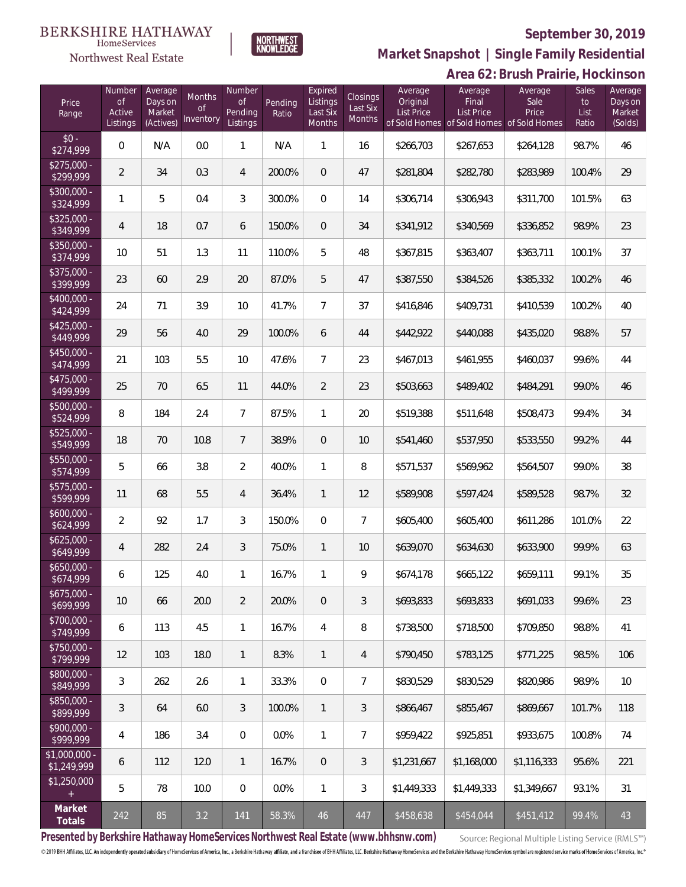# **BERKSHIRE HATHAWAY**



NORTHWEST<br>KNOWLEDGE

## **September 30, 2019**

**Market Snapshot | Single Family Residential**

|                               |                                           |                                           |                                  |                                            |                  |                                           |                                              |                                          |                                                                             | Area 62: Brush Prairie, Hockinson |                                     |                                         |
|-------------------------------|-------------------------------------------|-------------------------------------------|----------------------------------|--------------------------------------------|------------------|-------------------------------------------|----------------------------------------------|------------------------------------------|-----------------------------------------------------------------------------|-----------------------------------|-------------------------------------|-----------------------------------------|
| Price<br>Range                | Number<br><b>of</b><br>Active<br>Listings | Average<br>Days on<br>Market<br>(Actives) | Months<br><b>of</b><br>Inventory | Number<br><b>of</b><br>Pending<br>Listings | Pending<br>Ratio | Expired<br>Listings<br>Last Six<br>Months | <b>Closings</b><br>Last Six<br><b>Months</b> | Average<br>Original<br><b>List Price</b> | Average<br>Final<br>List Price<br>of Sold Homes of Sold Homes of Sold Homes | Average<br>Sale<br>Price          | <b>Sales</b><br>to<br>List<br>Ratio | Average<br>Days on<br>Market<br>(Solds) |
| $$0 -$<br>\$274,999           | $\boldsymbol{0}$                          | N/A                                       | 0.0                              | $\mathbf{1}$                               | N/A              | $\mathbf{1}$                              | 16                                           | \$266,703                                | \$267,653                                                                   | \$264,128                         | 98.7%                               | 46                                      |
| $$275,000 -$<br>\$299,999     | $\overline{2}$                            | 34                                        | 0.3                              | $\overline{4}$                             | 200.0%           | $\mathbf 0$                               | 47                                           | \$281,804                                | \$282,780                                                                   | \$283,989                         | 100.4%                              | 29                                      |
| \$300,000 -<br>\$324,999      | $\mathbf{1}$                              | 5                                         | 0.4                              | $\mathfrak{Z}$                             | 300.0%           | $\boldsymbol{0}$                          | 14                                           | \$306,714                                | \$306,943                                                                   | \$311,700                         | 101.5%                              | 63                                      |
| $$325,000 -$<br>\$349,999     | $\overline{4}$                            | 18                                        | 0.7                              | 6                                          | 150.0%           | $\overline{0}$                            | 34                                           | \$341,912                                | \$340,569                                                                   | \$336,852                         | 98.9%                               | 23                                      |
| \$350,000 -<br>\$374,999      | 10                                        | 51                                        | 1.3                              | 11                                         | 110.0%           | 5                                         | 48                                           | \$367,815                                | \$363,407                                                                   | \$363,711                         | 100.1%                              | 37                                      |
| \$375,000 -<br>\$399,999      | 23                                        | 60                                        | 2.9                              | 20                                         | 87.0%            | 5                                         | 47                                           | \$387,550                                | \$384,526                                                                   | \$385,332                         | 100.2%                              | 46                                      |
| $$400,000 -$<br>\$424,999     | 24                                        | 71                                        | 3.9                              | 10                                         | 41.7%            | $\overline{7}$                            | 37                                           | \$416,846                                | \$409,731                                                                   | \$410,539                         | 100.2%                              | 40                                      |
| $$425,000 -$<br>\$449,999     | 29                                        | 56                                        | 4.0                              | 29                                         | 100.0%           | 6                                         | 44                                           | \$442,922                                | \$440,088                                                                   | \$435,020                         | 98.8%                               | 57                                      |
| $$450,000 -$<br>\$474,999     | 21                                        | 103                                       | 5.5                              | 10                                         | 47.6%            | $\overline{7}$                            | 23                                           | \$467,013                                | \$461,955                                                                   | \$460,037                         | 99.6%                               | 44                                      |
| $$475,000 -$<br>\$499,999     | 25                                        | 70                                        | 6.5                              | 11                                         | 44.0%            | $\overline{2}$                            | 23                                           | \$503,663                                | \$489,402                                                                   | \$484,291                         | 99.0%                               | 46                                      |
| $$500,000 -$<br>\$524,999     | 8                                         | 184                                       | 2.4                              | $\overline{7}$                             | 87.5%            | $\mathbf{1}$                              | 20                                           | \$519,388                                | \$511,648                                                                   | \$508,473                         | 99.4%                               | 34                                      |
| \$525,000 -<br>\$549,999      | 18                                        | 70                                        | 10.8                             | $7\phantom{.}$                             | 38.9%            | $\overline{0}$                            | 10                                           | \$541,460                                | \$537,950                                                                   | \$533,550                         | 99.2%                               | 44                                      |
| \$550,000 -<br>\$574,999      | 5                                         | 66                                        | 3.8                              | $\overline{2}$                             | 40.0%            | $\mathbf{1}$                              | 8                                            | \$571,537                                | \$569,962                                                                   | \$564,507                         | 99.0%                               | 38                                      |
| \$575,000 -<br>\$599,999      | 11                                        | 68                                        | 5.5                              | $\overline{4}$                             | 36.4%            | $\mathbf{1}$                              | 12                                           | \$589,908                                | \$597,424                                                                   | \$589,528                         | 98.7%                               | 32                                      |
| $$600,000 -$<br>\$624,999     | $\overline{2}$                            | 92                                        | 1.7                              | 3                                          | 150.0%           | $\boldsymbol{0}$                          | $\overline{7}$                               | \$605,400                                | \$605,400                                                                   | \$611,286                         | 101.0%                              | 22                                      |
| $$625,000 -$<br>\$649,999     | 4                                         | 282                                       | 2.4                              | 3                                          | 75.0%            | $\mathbf{1}$                              | 10                                           | \$639,070                                | \$634,630                                                                   | \$633,900                         | 99.9%                               | 63                                      |
| \$650,000<br>\$674,999        | 6                                         | 125                                       | 4.0                              | $\mathbf{1}$                               | 16.7%            | 1                                         | 9                                            | \$674,178                                | \$665,122                                                                   | \$659,111                         | 99.1%                               | 35                                      |
| $$675,000 -$<br>\$699,999     | 10                                        | 66                                        | 20.0                             | $\overline{2}$                             | 20.0%            | $\overline{0}$                            | 3                                            | \$693,833                                | \$693,833                                                                   | \$691,033                         | 99.6%                               | 23                                      |
| $$700,000 -$<br>\$749,999     | 6                                         | 113                                       | 4.5                              | $\mathbf{1}$                               | 16.7%            | $\overline{4}$                            | 8                                            | \$738,500                                | \$718,500                                                                   | \$709,850                         | 98.8%                               | 41                                      |
| $$750,000 -$<br>\$799,999     | 12                                        | 103                                       | 18.0                             | $\mathbf{1}$                               | 8.3%             | $\mathbf{1}$                              | $\overline{4}$                               | \$790,450                                | \$783,125                                                                   | \$771,225                         | 98.5%                               | 106                                     |
| \$800,000 -<br>\$849,999      | 3                                         | 262                                       | 2.6                              | $\mathbf{1}$                               | 33.3%            | $\overline{0}$                            | $\overline{7}$                               | \$830,529                                | \$830,529                                                                   | \$820,986                         | 98.9%                               | 10                                      |
| \$850,000 -<br>\$899,999      | 3                                         | 64                                        | 6.0                              | 3                                          | 100.0%           | $\mathbf{1}$                              | $\mathfrak{Z}$                               | \$866,467                                | \$855,467                                                                   | \$869,667                         | 101.7%                              | 118                                     |
| $$900,000 -$<br>\$999,999     | 4                                         | 186                                       | 3.4                              | $\overline{0}$                             | 0.0%             | $\mathbf{1}$                              | $\overline{7}$                               | \$959,422                                | \$925,851                                                                   | \$933,675                         | 100.8%                              | 74                                      |
| $$1,000,000 -$<br>\$1,249,999 | 6                                         | 112                                       | 12.0                             | $\mathbf{1}$                               | 16.7%            | $\overline{0}$                            | 3                                            | \$1,231,667                              | \$1,168,000                                                                 | \$1,116,333                       | 95.6%                               | 221                                     |
| \$1,250,000<br>$^{+}$         | 5                                         | 78                                        | 10.0                             | $\mathbf 0$                                | 0.0%             | $\mathbf{1}$                              | 3                                            | \$1,449,333                              | \$1,449,333                                                                 | \$1,349,667                       | 93.1%                               | 31                                      |
| Market<br>Totals              | 242                                       | 85                                        | 3.2                              | 141                                        | 58.3%            | 46                                        | 447                                          | \$458,638                                | \$454,044                                                                   | \$451,412                         | 99.4%                               | 43                                      |

**Presented by Berkshire Hathaway HomeServices Northwest Real Estate (www.bhhsnw.com)**

Source: Regional Multiple Listing Service (RMLS™)